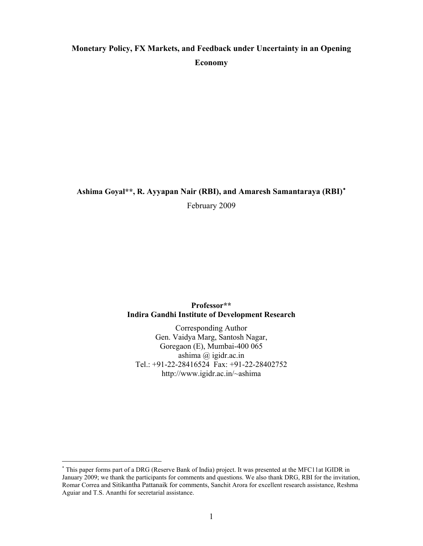# **Monetary Policy, FX Markets, and Feedback under Uncertainty in an Opening Economy**

# **Ashima Goyal\*\*, R. Ayyapan Nair (RBI), and Amaresh Samantaraya (RBI)**[∗](#page-0-0)

February 2009

# **Professor\*\* Indira Gandhi Institute of Development Research**

Corresponding Author Gen. Vaidya Marg, Santosh Nagar, Goregaon (E), Mumbai-400 065 ashima @ igidr.ac.in Tel.: +91-22-28416524 Fax: +91-22-28402752 http://www.igidr.ac.in/~ashima

<span id="page-0-0"></span><sup>∗</sup> This paper forms part of a DRG (Reserve Bank of India) project. It was presented at the MFC11at IGIDR in January 2009; we thank the participants for comments and questions. We also thank DRG, RBI for the invitation, Romar Correa and Sitikantha Pattanaik for comments, Sanchit Arora for excellent research assistance, Reshma Aguiar and T.S. Ananthi for secretarial assistance.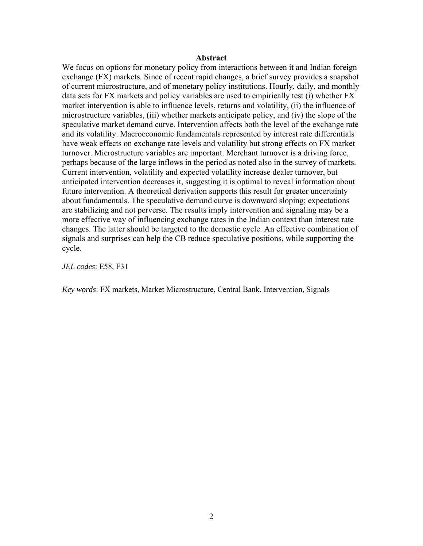#### **Abstract**

We focus on options for monetary policy from interactions between it and Indian foreign exchange (FX) markets. Since of recent rapid changes, a brief survey provides a snapshot of current microstructure, and of monetary policy institutions. Hourly, daily, and monthly data sets for FX markets and policy variables are used to empirically test (i) whether FX market intervention is able to influence levels, returns and volatility, (ii) the influence of microstructure variables, (iii) whether markets anticipate policy, and (iv) the slope of the speculative market demand curve. Intervention affects both the level of the exchange rate and its volatility. Macroeconomic fundamentals represented by interest rate differentials have weak effects on exchange rate levels and volatility but strong effects on FX market turnover. Microstructure variables are important. Merchant turnover is a driving force, perhaps because of the large inflows in the period as noted also in the survey of markets. Current intervention, volatility and expected volatility increase dealer turnover, but anticipated intervention decreases it, suggesting it is optimal to reveal information about future intervention. A theoretical derivation supports this result for greater uncertainty about fundamentals. The speculative demand curve is downward sloping; expectations are stabilizing and not perverse. The results imply intervention and signaling may be a more effective way of influencing exchange rates in the Indian context than interest rate changes. The latter should be targeted to the domestic cycle. An effective combination of signals and surprises can help the CB reduce speculative positions, while supporting the cycle.

*JEL codes*: E58, F31

*Key words*: FX markets, Market Microstructure, Central Bank, Intervention, Signals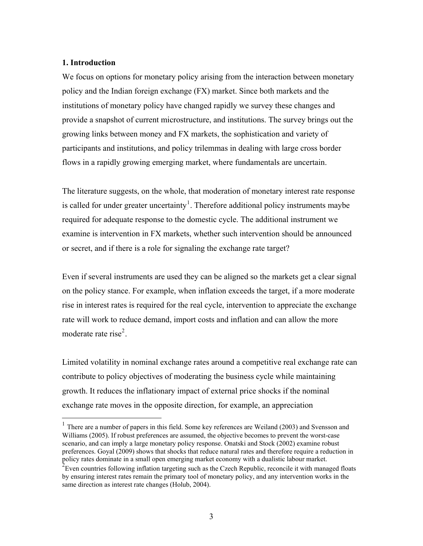#### **1. Introduction**

 $\overline{a}$ 

We focus on options for monetary policy arising from the interaction between monetary policy and the Indian foreign exchange (FX) market. Since both markets and the institutions of monetary policy have changed rapidly we survey these changes and provide a snapshot of current microstructure, and institutions. The survey brings out the growing links between money and FX markets, the sophistication and variety of participants and institutions, and policy trilemmas in dealing with large cross border flows in a rapidly growing emerging market, where fundamentals are uncertain.

The literature suggests, on the whole, that moderation of monetary interest rate response is called for under greater uncertainty<sup>[1](#page-2-0)</sup>. Therefore additional policy instruments maybe required for adequate response to the domestic cycle. The additional instrument we examine is intervention in FX markets, whether such intervention should be announced or secret, and if there is a role for signaling the exchange rate target?

Even if several instruments are used they can be aligned so the markets get a clear signal on the policy stance. For example, when inflation exceeds the target, if a more moderate rise in interest rates is required for the real cycle, intervention to appreciate the exchange rate will work to reduce demand, import costs and inflation and can allow the more moderate rate rise<sup>[2](#page-2-1)</sup>.

Limited volatility in nominal exchange rates around a competitive real exchange rate can contribute to policy objectives of moderating the business cycle while maintaining growth. It reduces the inflationary impact of external price shocks if the nominal exchange rate moves in the opposite direction, for example, an appreciation

<span id="page-2-0"></span> $1$  There are a number of papers in this field. Some key references are Weiland (2003) and Svensson and Williams (2005). If robust preferences are assumed, the objective becomes to prevent the worst-case scenario, and can imply a large monetary policy response. Onatski and Stock (2002) examine robust preferences. Goyal (2009) shows that shocks that reduce natural rates and therefore require a reduction in policy rates dominate in a small open emerging market economy with a dualistic labour market.

<span id="page-2-1"></span><sup>&</sup>lt;sup>2</sup> Even countries following inflation targeting such as the Czech Republic, reconcile it with managed floats by ensuring interest rates remain the primary tool of monetary policy, and any intervention works in the same direction as interest rate changes (Holub, 2004).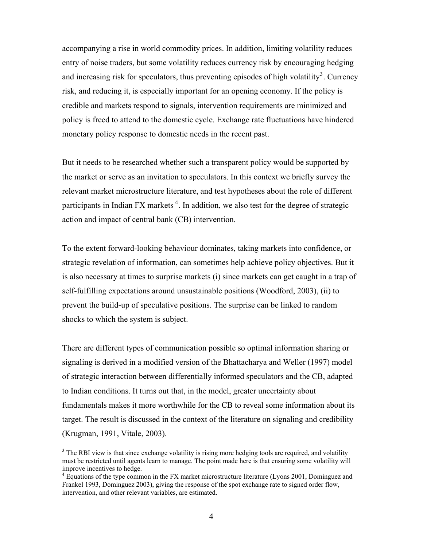accompanying a rise in world commodity prices. In addition, limiting volatility reduces entry of noise traders, but some volatility reduces currency risk by encouraging hedging and increasing risk for speculators, thus preventing episodes of high volatility<sup>[3](#page-3-0)</sup>. Currency risk, and reducing it, is especially important for an opening economy. If the policy is credible and markets respond to signals, intervention requirements are minimized and policy is freed to attend to the domestic cycle. Exchange rate fluctuations have hindered monetary policy response to domestic needs in the recent past.

But it needs to be researched whether such a transparent policy would be supported by the market or serve as an invitation to speculators. In this context we briefly survey the relevant market microstructure literature, and test hypotheses about the role of different participants in Indian FX markets<sup>[4](#page-3-1)</sup>. In addition, we also test for the degree of strategic action and impact of central bank (CB) intervention.

To the extent forward-looking behaviour dominates, taking markets into confidence, or strategic revelation of information, can sometimes help achieve policy objectives. But it is also necessary at times to surprise markets (i) since markets can get caught in a trap of self-fulfilling expectations around unsustainable positions (Woodford, 2003), (ii) to prevent the build-up of speculative positions. The surprise can be linked to random shocks to which the system is subject.

There are different types of communication possible so optimal information sharing or signaling is derived in a modified version of the Bhattacharya and Weller (1997) model of strategic interaction between differentially informed speculators and the CB, adapted to Indian conditions. It turns out that, in the model, greater uncertainty about fundamentals makes it more worthwhile for the CB to reveal some information about its target. The result is discussed in the context of the literature on signaling and credibility (Krugman, 1991, Vitale, 2003).

<span id="page-3-0"></span><sup>&</sup>lt;sup>3</sup> The RBI view is that since exchange volatility is rising more hedging tools are required, and volatility must be restricted until agents learn to manage. The point made here is that ensuring some volatility will improve incentives to hedge.

<span id="page-3-1"></span><sup>&</sup>lt;sup>4</sup> Equations of the type common in the FX market microstructure literature (Lyons 2001, Dominguez and Frankel 1993, Dominguez 2003), giving the response of the spot exchange rate to signed order flow, intervention, and other relevant variables, are estimated.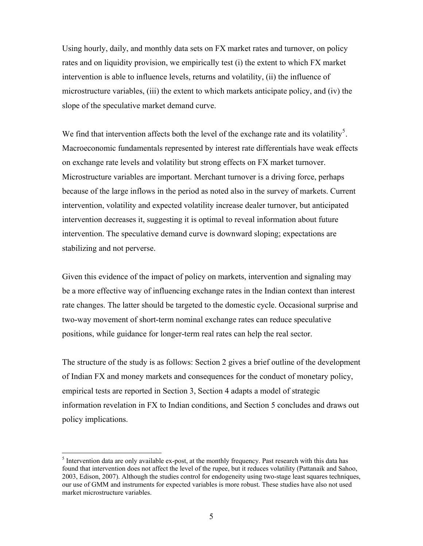Using hourly, daily, and monthly data sets on FX market rates and turnover, on policy rates and on liquidity provision, we empirically test (i) the extent to which FX market intervention is able to influence levels, returns and volatility, (ii) the influence of microstructure variables, (iii) the extent to which markets anticipate policy, and (iv) the slope of the speculative market demand curve.

We find that intervention affects both the level of the exchange rate and its volatility<sup>[5](#page-4-0)</sup>. Macroeconomic fundamentals represented by interest rate differentials have weak effects on exchange rate levels and volatility but strong effects on FX market turnover. Microstructure variables are important. Merchant turnover is a driving force, perhaps because of the large inflows in the period as noted also in the survey of markets. Current intervention, volatility and expected volatility increase dealer turnover, but anticipated intervention decreases it, suggesting it is optimal to reveal information about future intervention. The speculative demand curve is downward sloping; expectations are stabilizing and not perverse.

Given this evidence of the impact of policy on markets, intervention and signaling may be a more effective way of influencing exchange rates in the Indian context than interest rate changes. The latter should be targeted to the domestic cycle. Occasional surprise and two-way movement of short-term nominal exchange rates can reduce speculative positions, while guidance for longer-term real rates can help the real sector.

The structure of the study is as follows: Section 2 gives a brief outline of the development of Indian FX and money markets and consequences for the conduct of monetary policy, empirical tests are reported in Section 3, Section 4 adapts a model of strategic information revelation in FX to Indian conditions, and Section 5 concludes and draws out policy implications.

<span id="page-4-0"></span><sup>&</sup>lt;sup>5</sup> Intervention data are only available ex-post, at the monthly frequency. Past research with this data has found that intervention does not affect the level of the rupee, but it reduces volatility (Pattanaik and Sahoo, 2003, Edison, 2007). Although the studies control for endogeneity using two-stage least squares techniques, our use of GMM and instruments for expected variables is more robust. These studies have also not used market microstructure variables.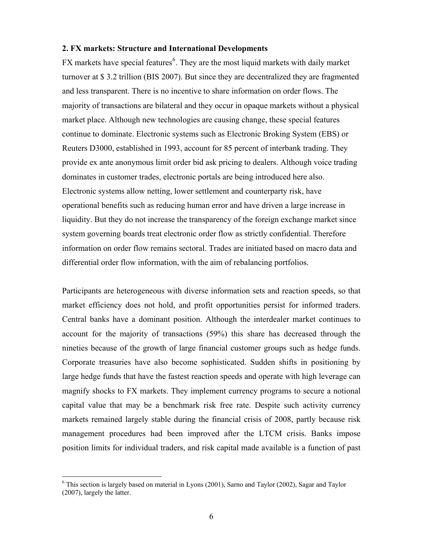#### **2. FX markets: Structure and International Developments**

FX markets have special features<sup>[6](#page-5-0)</sup>. They are the most liquid markets with daily market turnover at \$ 3.2 trillion (BIS 2007). But since they are decentralized they are fragmented and less transparent. There is no incentive to share information on order flows. The majority of transactions are bilateral and they occur in opaque markets without a physical market place. Although new technologies are causing change, these special features continue to dominate. Electronic systems such as Electronic Broking System (EBS) or Reuters D3000, established in 1993, account for 85 percent of interbank trading. They provide ex ante anonymous limit order bid ask pricing to dealers. Although voice trading dominates in customer trades, electronic portals are being introduced here also. Electronic systems allow netting, lower settlement and counterparty risk, have operational benefits such as reducing human error and have driven a large increase in liquidity. But they do not increase the transparency of the foreign exchange market since system governing boards treat electronic order flow as strictly confidential. Therefore information on order flow remains sectoral. Trades are initiated based on macro data and differential order flow information, with the aim of rebalancing portfolios.

Participants are heterogeneous with diverse information sets and reaction speeds, so that market efficiency does not hold, and profit opportunities persist for informed traders. Central banks have a dominant position. Although the interdealer market continues to account for the majority of transactions (59%) this share has decreased through the nineties because of the growth of large financial customer groups such as hedge funds. Corporate treasuries have also become sophisticated. Sudden shifts in positioning by large hedge funds that have the fastest reaction speeds and operate with high leverage can magnify shocks to FX markets. They implement currency programs to secure a notional capital value that may be a benchmark risk free rate. Despite such activity currency markets remained largely stable during the financial crisis of 2008, partly because risk management procedures had been improved after the LTCM crisis. Banks impose position limits for individual traders, and risk capital made available is a function of past

<span id="page-5-0"></span><sup>&</sup>lt;sup>6</sup> This section is largely based on material in Lyons (2001), Sarno and Taylor (2002), Sagar and Taylor (2007), largely the latter.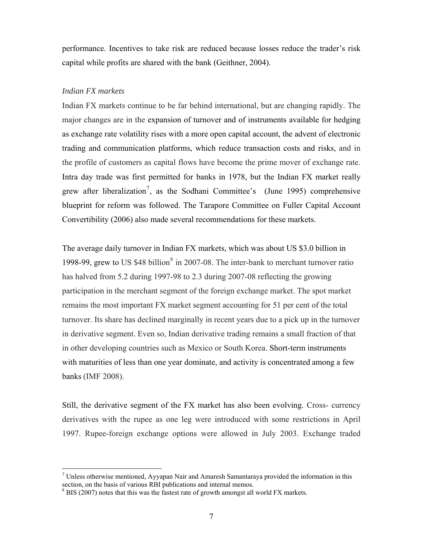performance. Incentives to take risk are reduced because losses reduce the trader's risk capital while profits are shared with the bank (Geithner, 2004).

#### *Indian FX markets*

 $\overline{a}$ 

Indian FX markets continue to be far behind international, but are changing rapidly. The major changes are in the expansion of turnover and of instruments available for hedging as exchange rate volatility rises with a more open capital account, the advent of electronic trading and communication platforms, which reduce transaction costs and risks, and in the profile of customers as capital flows have become the prime mover of exchange rate. Intra day trade was first permitted for banks in 1978, but the Indian FX market really grew after liberalization<sup>[7](#page-6-0)</sup>, as the Sodhani Committee's (June 1995) comprehensive blueprint for reform was followed. The Tarapore Committee on Fuller Capital Account Convertibility (2006) also made several recommendations for these markets.

The average daily turnover in Indian FX markets, which was about US \$3.0 billion in 199[8](#page-6-1)-99, grew to US  $$48$  billion<sup>8</sup> in 2007-08. The inter-bank to merchant turnover ratio has halved from 5.2 during 1997-98 to 2.3 during 2007-08 reflecting the growing participation in the merchant segment of the foreign exchange market. The spot market remains the most important FX market segment accounting for 51 per cent of the total turnover. Its share has declined marginally in recent years due to a pick up in the turnover in derivative segment. Even so, Indian derivative trading remains a small fraction of that in other developing countries such as Mexico or South Korea. Short-term instruments with maturities of less than one year dominate, and activity is concentrated among a few banks (IMF 2008).

Still, the derivative segment of the FX market has also been evolving. Cross- currency derivatives with the rupee as one leg were introduced with some restrictions in April 1997. Rupee-foreign exchange options were allowed in July 2003. Exchange traded

<span id="page-6-0"></span> $<sup>7</sup>$  Unless otherwise mentioned, Ayyapan Nair and Amaresh Samantaraya provided the information in this</sup> section, on the basis of various RBI publications and internal memos.

<span id="page-6-1"></span> $8$  BIS (2007) notes that this was the fastest rate of growth amongst all world FX markets.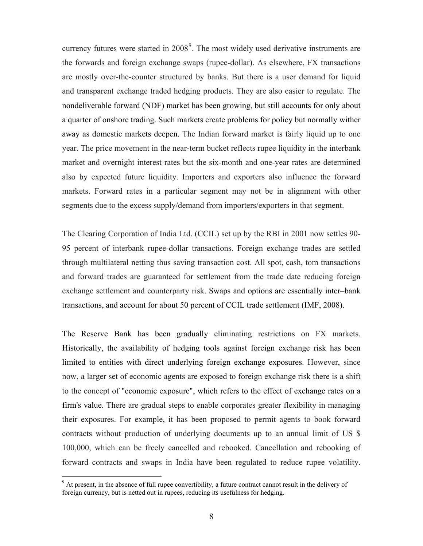currency futures were started in  $2008<sup>9</sup>$  $2008<sup>9</sup>$  $2008<sup>9</sup>$ . The most widely used derivative instruments are the forwards and foreign exchange swaps (rupee-dollar). As elsewhere, FX transactions are mostly over-the-counter structured by banks. But there is a user demand for liquid and transparent exchange traded hedging products. They are also easier to regulate. The nondeliverable forward (NDF) market has been growing, but still accounts for only about a quarter of onshore trading. Such markets create problems for policy but normally wither away as domestic markets deepen. The Indian forward market is fairly liquid up to one year. The price movement in the near-term bucket reflects rupee liquidity in the interbank market and overnight interest rates but the six-month and one-year rates are determined also by expected future liquidity. Importers and exporters also influence the forward markets. Forward rates in a particular segment may not be in alignment with other segments due to the excess supply/demand from importers/exporters in that segment.

The Clearing Corporation of India Ltd. (CCIL) set up by the RBI in 2001 now settles 90- 95 percent of interbank rupee-dollar transactions. Foreign exchange trades are settled through multilateral netting thus saving transaction cost. All spot, cash, tom transactions and forward trades are guaranteed for settlement from the trade date reducing foreign exchange settlement and counterparty risk. Swaps and options are essentially inter–bank transactions, and account for about 50 percent of CCIL trade settlement (IMF, 2008).

The Reserve Bank has been gradually eliminating restrictions on FX markets. Historically, the availability of hedging tools against foreign exchange risk has been limited to entities with direct underlying foreign exchange exposures. However, since now, a larger set of economic agents are exposed to foreign exchange risk there is a shift to the concept of "economic exposure", which refers to the effect of exchange rates on a firm's value. There are gradual steps to enable corporates greater flexibility in managing their exposures. For example, it has been proposed to permit agents to book forward contracts without production of underlying documents up to an annual limit of US \$ 100,000, which can be freely cancelled and rebooked. Cancellation and rebooking of forward contracts and swaps in India have been regulated to reduce rupee volatility.

<span id="page-7-0"></span><sup>&</sup>lt;sup>9</sup> At present, in the absence of full rupee convertibility, a future contract cannot result in the delivery of foreign currency, but is netted out in rupees, reducing its usefulness for hedging.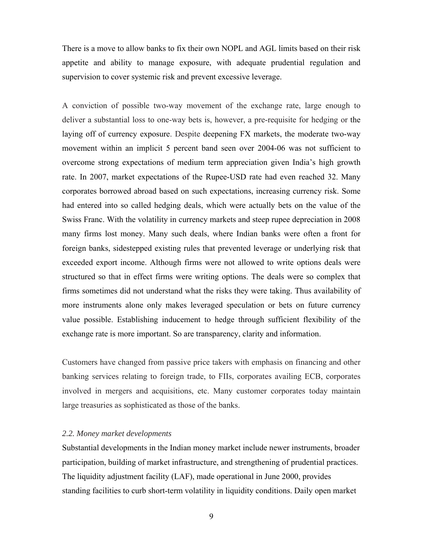There is a move to allow banks to fix their own NOPL and AGL limits based on their risk appetite and ability to manage exposure, with adequate prudential regulation and supervision to cover systemic risk and prevent excessive leverage.

A conviction of possible two-way movement of the exchange rate, large enough to deliver a substantial loss to one-way bets is, however, a pre-requisite for hedging or the laying off of currency exposure. Despite deepening FX markets, the moderate two-way movement within an implicit 5 percent band seen over 2004-06 was not sufficient to overcome strong expectations of medium term appreciation given India's high growth rate. In 2007, market expectations of the Rupee-USD rate had even reached 32. Many corporates borrowed abroad based on such expectations, increasing currency risk. Some had entered into so called hedging deals, which were actually bets on the value of the Swiss Franc. With the volatility in currency markets and steep rupee depreciation in 2008 many firms lost money. Many such deals, where Indian banks were often a front for foreign banks, sidestepped existing rules that prevented leverage or underlying risk that exceeded export income. Although firms were not allowed to write options deals were structured so that in effect firms were writing options. The deals were so complex that firms sometimes did not understand what the risks they were taking. Thus availability of more instruments alone only makes leveraged speculation or bets on future currency value possible. Establishing inducement to hedge through sufficient flexibility of the exchange rate is more important. So are transparency, clarity and information.

Customers have changed from passive price takers with emphasis on financing and other banking services relating to foreign trade, to FIIs, corporates availing ECB, corporates involved in mergers and acquisitions, etc. Many customer corporates today maintain large treasuries as sophisticated as those of the banks.

# *2.2. Money market developments*

Substantial developments in the Indian money market include newer instruments, broader participation, building of market infrastructure, and strengthening of prudential practices. The liquidity adjustment facility (LAF), made operational in June 2000, provides standing facilities to curb short-term volatility in liquidity conditions. Daily open market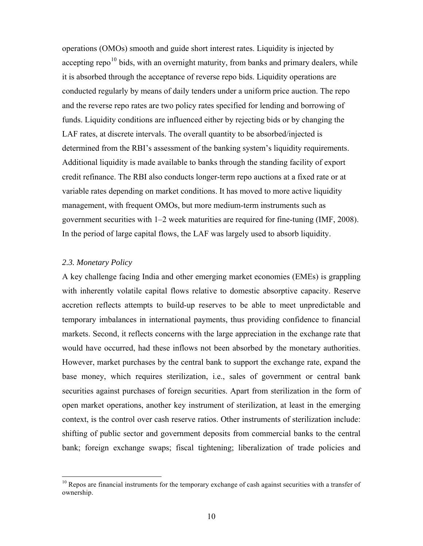operations (OMOs) smooth and guide short interest rates. Liquidity is injected by accepting repo<sup>[10](#page-9-0)</sup> bids, with an overnight maturity, from banks and primary dealers, while it is absorbed through the acceptance of reverse repo bids. Liquidity operations are conducted regularly by means of daily tenders under a uniform price auction. The repo and the reverse repo rates are two policy rates specified for lending and borrowing of funds. Liquidity conditions are influenced either by rejecting bids or by changing the LAF rates, at discrete intervals. The overall quantity to be absorbed/injected is determined from the RBI's assessment of the banking system's liquidity requirements. Additional liquidity is made available to banks through the standing facility of export credit refinance. The RBI also conducts longer-term repo auctions at a fixed rate or at variable rates depending on market conditions. It has moved to more active liquidity management, with frequent OMOs, but more medium-term instruments such as government securities with 1–2 week maturities are required for fine-tuning (IMF, 2008). In the period of large capital flows, the LAF was largely used to absorb liquidity.

### *2.3. Monetary Policy*

 $\overline{a}$ 

A key challenge facing India and other emerging market economies (EMEs) is grappling with inherently volatile capital flows relative to domestic absorptive capacity. Reserve accretion reflects attempts to build-up reserves to be able to meet unpredictable and temporary imbalances in international payments, thus providing confidence to financial markets. Second, it reflects concerns with the large appreciation in the exchange rate that would have occurred, had these inflows not been absorbed by the monetary authorities. However, market purchases by the central bank to support the exchange rate, expand the base money, which requires sterilization, i.e., sales of government or central bank securities against purchases of foreign securities. Apart from sterilization in the form of open market operations, another key instrument of sterilization, at least in the emerging context, is the control over cash reserve ratios. Other instruments of sterilization include: shifting of public sector and government deposits from commercial banks to the central bank; foreign exchange swaps; fiscal tightening; liberalization of trade policies and

<span id="page-9-0"></span> $10$  Repos are financial instruments for the temporary exchange of cash against securities with a transfer of ownership.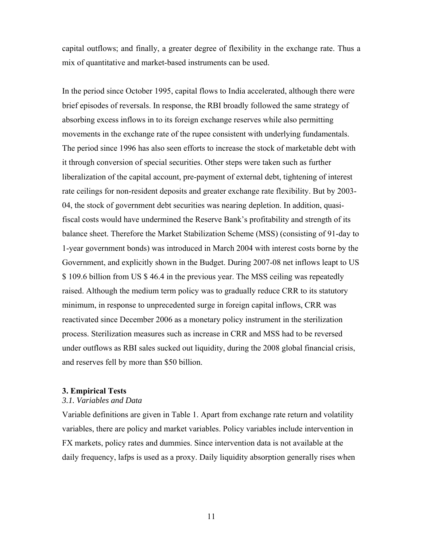capital outflows; and finally, a greater degree of flexibility in the exchange rate. Thus a mix of quantitative and market-based instruments can be used.

In the period since October 1995, capital flows to India accelerated, although there were brief episodes of reversals. In response, the RBI broadly followed the same strategy of absorbing excess inflows in to its foreign exchange reserves while also permitting movements in the exchange rate of the rupee consistent with underlying fundamentals. The period since 1996 has also seen efforts to increase the stock of marketable debt with it through conversion of special securities. Other steps were taken such as further liberalization of the capital account, pre-payment of external debt, tightening of interest rate ceilings for non-resident deposits and greater exchange rate flexibility. But by 2003- 04, the stock of government debt securities was nearing depletion. In addition, quasifiscal costs would have undermined the Reserve Bank's profitability and strength of its balance sheet. Therefore the Market Stabilization Scheme (MSS) (consisting of 91-day to 1-year government bonds) was introduced in March 2004 with interest costs borne by the Government, and explicitly shown in the Budget. During 2007-08 net inflows leapt to US \$ 109.6 billion from US \$ 46.4 in the previous year. The MSS ceiling was repeatedly raised. Although the medium term policy was to gradually reduce CRR to its statutory minimum, in response to unprecedented surge in foreign capital inflows, CRR was reactivated since December 2006 as a monetary policy instrument in the sterilization process. Sterilization measures such as increase in CRR and MSS had to be reversed under outflows as RBI sales sucked out liquidity, during the 2008 global financial crisis, and reserves fell by more than \$50 billion.

# **3. Empirical Tests**

#### *3.1. Variables and Data*

Variable definitions are given in Table 1. Apart from exchange rate return and volatility variables, there are policy and market variables. Policy variables include intervention in FX markets, policy rates and dummies. Since intervention data is not available at the daily frequency, lafps is used as a proxy. Daily liquidity absorption generally rises when

11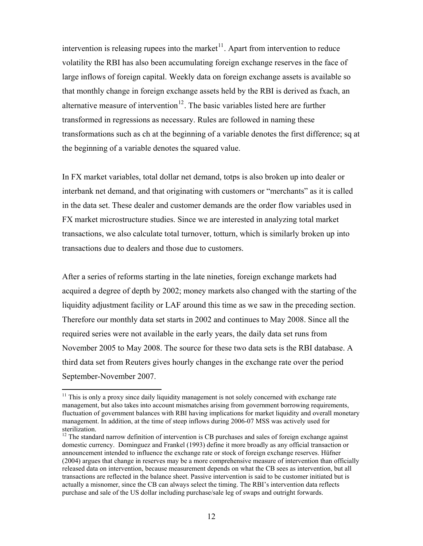intervention is releasing rupees into the market $11$ . Apart from intervention to reduce volatility the RBI has also been accumulating foreign exchange reserves in the face of large inflows of foreign capital. Weekly data on foreign exchange assets is available so that monthly change in foreign exchange assets held by the RBI is derived as fxach, an alternative measure of intervention<sup>[12](#page-11-1)</sup>. The basic variables listed here are further transformed in regressions as necessary. Rules are followed in naming these transformations such as ch at the beginning of a variable denotes the first difference; sq at the beginning of a variable denotes the squared value.

In FX market variables, total dollar net demand, totps is also broken up into dealer or interbank net demand, and that originating with customers or "merchants" as it is called in the data set. These dealer and customer demands are the order flow variables used in FX market microstructure studies. Since we are interested in analyzing total market transactions, we also calculate total turnover, totturn, which is similarly broken up into transactions due to dealers and those due to customers.

After a series of reforms starting in the late nineties, foreign exchange markets had acquired a degree of depth by 2002; money markets also changed with the starting of the liquidity adjustment facility or LAF around this time as we saw in the preceding section. Therefore our monthly data set starts in 2002 and continues to May 2008. Since all the required series were not available in the early years, the daily data set runs from November 2005 to May 2008. The source for these two data sets is the RBI database. A third data set from Reuters gives hourly changes in the exchange rate over the period September-November 2007.

<span id="page-11-0"></span> $11$  This is only a proxy since daily liquidity management is not solely concerned with exchange rate management, but also takes into account mismatches arising from government borrowing requirements, fluctuation of government balances with RBI having implications for market liquidity and overall monetary management. In addition, at the time of steep inflows during 2006-07 MSS was actively used for sterilization.

<span id="page-11-1"></span><sup>&</sup>lt;sup>12</sup> The standard narrow definition of intervention is CB purchases and sales of foreign exchange against domestic currency. Dominguez and Frankel (1993) define it more broadly as any official transaction or announcement intended to influence the exchange rate or stock of foreign exchange reserves. Hüfner (2004) argues that change in reserves may be a more comprehensive measure of intervention than officially released data on intervention, because measurement depends on what the CB sees as intervention, but all transactions are reflected in the balance sheet. Passive intervention is said to be customer initiated but is actually a misnomer, since the CB can always select the timing. The RBI's intervention data reflects purchase and sale of the US dollar including purchase/sale leg of swaps and outright forwards.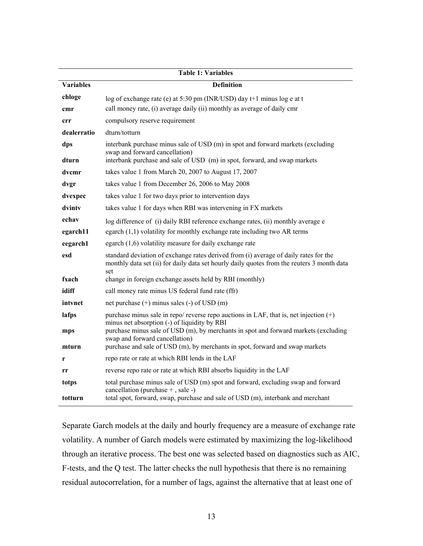|                   | <b>Table 1: Variables</b>                                                                                                                                                                      |  |  |  |  |
|-------------------|------------------------------------------------------------------------------------------------------------------------------------------------------------------------------------------------|--|--|--|--|
| <b>Variables</b>  | <b>Definition</b>                                                                                                                                                                              |  |  |  |  |
| chloge            | log of exchange rate (e) at 5:30 pm (INR/USD) day t+1 minus log e at t                                                                                                                         |  |  |  |  |
| cmr               | call money rate, (i) average daily (ii) monthly as average of daily cmr                                                                                                                        |  |  |  |  |
| crr               | compulsory reserve requirement                                                                                                                                                                 |  |  |  |  |
| dealerratio       | dturn/totturn                                                                                                                                                                                  |  |  |  |  |
| dps<br>dturn      | interbank purchase minus sale of USD (m) in spot and forward markets (excluding<br>swap and forward cancellation)<br>interbank purchase and sale of USD (m) in spot, forward, and swap markets |  |  |  |  |
| dvcmr             | takes value 1 from March 20, 2007 to August 17, 2007                                                                                                                                           |  |  |  |  |
| dvgr              | takes value 1 from December 26, 2006 to May 2008                                                                                                                                               |  |  |  |  |
| dvexpec           | takes value 1 for two days prior to intervention days                                                                                                                                          |  |  |  |  |
| dvinty            | takes value 1 for days when RBI was intervening in FX markets                                                                                                                                  |  |  |  |  |
| echav<br>egarch11 | log difference of (i) daily RBI reference exchange rates, (ii) monthly average e<br>egarch $(1,1)$ volatility for monthly exchange rate including two AR terms                                 |  |  |  |  |
| eegarch1          | egarch $(1,6)$ volatility measure for daily exchange rate                                                                                                                                      |  |  |  |  |
| esd               | standard deviation of exchange rates derived from (i) average of daily rates for the                                                                                                           |  |  |  |  |
|                   | monthly data set (ii) for daily data set hourly daily quotes from the reuters 3 month data<br>set                                                                                              |  |  |  |  |
| fxach             | change in foreign exchange assets held by RBI (monthly)                                                                                                                                        |  |  |  |  |
| idiff             | call money rate minus US federal fund rate (ffr)                                                                                                                                               |  |  |  |  |
| intynet           | net purchase $(+)$ minus sales $(-)$ of USD $(m)$                                                                                                                                              |  |  |  |  |
| lafps             | purchase minus sale in repo/ reverse repo auctions in LAF, that is, net injection $(+)$<br>minus net absorption (-) of liquidity by RBI                                                        |  |  |  |  |
| mps               | purchase minus sale of USD (m), by merchants in spot and forward markets (excluding<br>swap and forward cancellation)                                                                          |  |  |  |  |
| mturn             | purchase and sale of USD (m), by merchants in spot, forward and swap markets                                                                                                                   |  |  |  |  |
| r                 | repo rate or rate at which RBI lends in the LAF                                                                                                                                                |  |  |  |  |
| rr                | reverse repo rate or rate at which RBI absorbs liquidity in the LAF                                                                                                                            |  |  |  |  |
| totps             | total purchase minus sale of USD (m) spot and forward, excluding swap and forward                                                                                                              |  |  |  |  |
| totturn           | cancellation (purchase $+$ , sale -)<br>total spot, forward, swap, purchase and sale of USD (m), interbank and merchant                                                                        |  |  |  |  |

Separate Garch models at the daily and hourly frequency are a measure of exchange rate volatility. A number of Garch models were estimated by maximizing the log-likelihood through an iterative process. The best one was selected based on diagnostics such as AIC, F-tests, and the Q test. The latter checks the null hypothesis that there is no remaining residual autocorrelation, for a number of lags, against the alternative that at least one of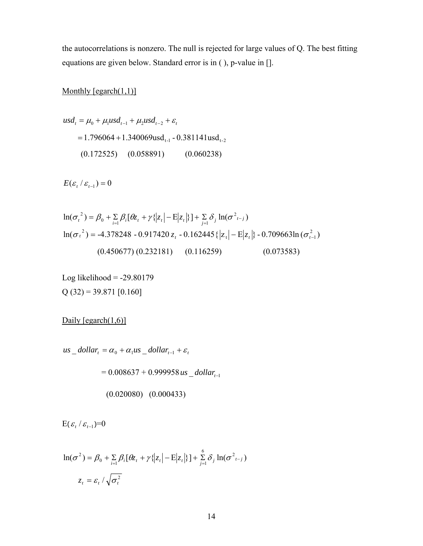the autocorrelations is nonzero. The null is rejected for large values of Q. The best fitting equations are given below. Standard error is in ( ), p-value in [].

# Monthly [egarch(1,1)]

$$
usd_{t} = \mu_{0} + \mu_{1}usd_{t-1} + \mu_{2}usd_{t-2} + \varepsilon_{t}
$$
  
= 1.796064 + 1.340069usd\_{t-1} - 0.381141usd\_{t-2}  
(0.172525) (0.058891) (0.060238)

 $E(\varepsilon_t/\varepsilon_{t-1})=0$ 

$$
\ln(\sigma_t^2) = \beta_0 + \sum_{i=1}^n \beta_i [\theta_{\mathcal{Z}_t} + \gamma {\langle |z_t| - E|z_t| \rangle}] + \sum_{j=1}^n \delta_j \ln(\sigma^2_{t-j})
$$
  

$$
\ln(\sigma_t^2) = -4.378248 - 0.917420 z_t - 0.162445 {\langle |z_t| - E|z_t| \rangle} - 0.709663 \ln(\sigma_{t-1}^2)
$$
  
(0.450677) (0.232181) (0.116259) (0.073583)

Log likelihood  $= -29.80179$  $Q(32) = 39.871$  [0.160]

Daily  $[egarch(1,6)]$ 

 $us\_dollar_t = \alpha_0 + \alpha_1 us\_dollar_{t-1} + \varepsilon_t$ 

 $= 0.008637 + 0.999958$  *us*  $-dollar_{t-1}$ 

$$
(0.020080) \quad (0.000433)
$$

 $E(\varepsilon_t / \varepsilon_{t-1}) = 0$ 

$$
\ln(\sigma^2) = \beta_0 + \sum_{i=1}^{\infty} \beta_i [\theta z_i + \gamma \{ |z_i| - E|z_i| \}] + \sum_{j=1}^{6} \delta_j \ln(\sigma^2_{t-j})
$$

$$
z_t = \varepsilon_t / \sqrt{\sigma_t^2}
$$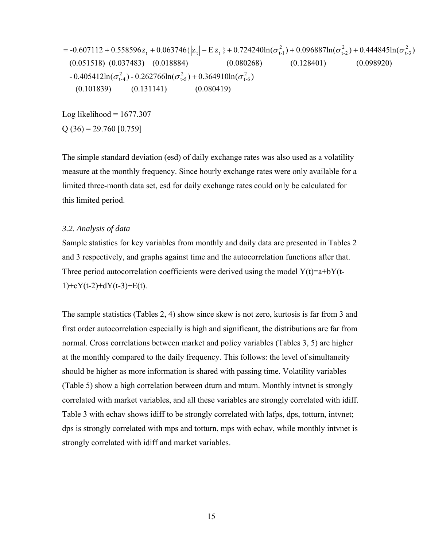$$
= -0.607112 + 0.558596 z_t + 0.063746 \{|z_t| - E|z_t|\} + 0.724240 \ln(\sigma_{t-1}^2) + 0.096887 \ln(\sigma_{t-2}^2) + 0.444845 \ln(\sigma_{t-3}^2)
$$
  
(0.051518) (0.037483) (0.018884) (0.080268) (0.128401) (0.098920)  
- 0.405412 \ln(\sigma\_{t-4}^2) - 0.262766 \ln(\sigma\_{t-5}^2) + 0.364910 \ln(\sigma\_{t-6}^2) (0.128401) (0.098920)  
(0.101839) (0.131141) (0.080419)

Log likelihood =  $1677.307$  $Q(36) = 29.760 [0.759]$ 

The simple standard deviation (esd) of daily exchange rates was also used as a volatility measure at the monthly frequency. Since hourly exchange rates were only available for a limited three-month data set, esd for daily exchange rates could only be calculated for this limited period.

## *3.2. Analysis of data*

Sample statistics for key variables from monthly and daily data are presented in Tables 2 and 3 respectively, and graphs against time and the autocorrelation functions after that. Three period autocorrelation coefficients were derived using the model  $Y(t)=a+bY(t 1)+cY(t-2)+dY(t-3)+E(t)$ .

The sample statistics (Tables 2, 4) show since skew is not zero, kurtosis is far from 3 and first order autocorrelation especially is high and significant, the distributions are far from normal. Cross correlations between market and policy variables (Tables 3, 5) are higher at the monthly compared to the daily frequency. This follows: the level of simultaneity should be higher as more information is shared with passing time. Volatility variables (Table 5) show a high correlation between dturn and mturn. Monthly intvnet is strongly correlated with market variables, and all these variables are strongly correlated with idiff. Table 3 with echav shows idiff to be strongly correlated with lafps, dps, totturn, intvnet; dps is strongly correlated with mps and totturn, mps with echav, while monthly intvnet is strongly correlated with idiff and market variables.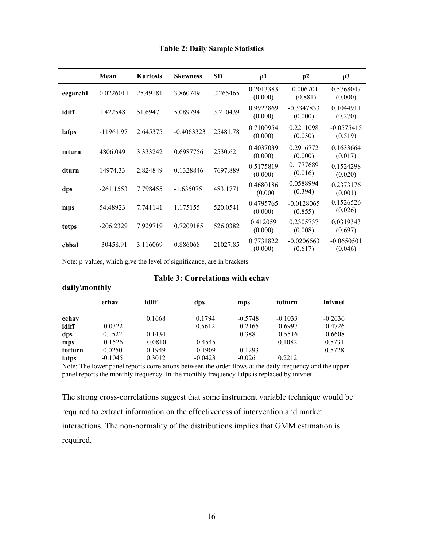|          | Mean        | <b>Kurtosis</b> | <b>Skewness</b> | <b>SD</b> | $\rho$ 1             | $\rho$ 2                | $\rho$ 3                |
|----------|-------------|-----------------|-----------------|-----------|----------------------|-------------------------|-------------------------|
| eegarch1 | 0.0226011   | 25.49181        | 3.860749        | .0265465  | 0.2013383<br>(0.000) | $-0.006701$<br>(0.881)  | 0.5768047<br>(0.000)    |
| idiff    | 1.422548    | 51.6947         | 5.089794        | 3.210439  | 0.9923869<br>(0.000) | $-0.3347833$<br>(0.000) | 0.1044911<br>(0.270)    |
| lafps    | $-11961.97$ | 2.645375        | $-0.4063323$    | 25481.78  | 0.7100954<br>(0.000) | 0.2211098<br>(0.030)    | $-0.0575415$<br>(0.519) |
| mturn    | 4806.049    | 3.333242        | 0.6987756       | 2530.62   | 0.4037039<br>(0.000) | 0.2916772<br>(0.000)    | 0.1633664<br>(0.017)    |
| dturn    | 14974.33    | 2.824849        | 0.1328846       | 7697.889  | 0.5175819<br>(0.000) | 0.1777689<br>(0.016)    | 0.1524298<br>(0.020)    |
| dps      | $-261.1553$ | 7.798455        | $-1.635075$     | 483.1771  | 0.4680186<br>(0.000) | 0.0588994<br>(0.394)    | 0.2373176<br>(0.001)    |
| mps      | 54.48923    | 7.741141        | 1.175155        | 520.0541  | 0.4795765<br>(0.000) | $-0.0128065$<br>(0.855) | 0.1526526<br>(0.026)    |
| totps    | $-206.2329$ | 7.929719        | 0.7209185       | 526.0382  | 0.412059<br>(0.000)  | 0.2305737<br>(0.008)    | 0.0319343<br>(0.697)    |
| cbbal    | 30458.91    | 3.116069        | 0.886068        | 21027.85  | 0.7731822<br>(0.000) | $-0.0206663$<br>(0.617) | $-0.0650501$<br>(0.046) |

#### **Table 2: Daily Sample Statistics**

Note: p-values, which give the level of significance, are in brackets

# **daily\monthly**

# **Table 3: Correlations with echav**

|         | echav     | idiff     | dps       | mps       | totturn   | intynet   |
|---------|-----------|-----------|-----------|-----------|-----------|-----------|
|         |           |           |           |           |           |           |
| echav   |           | 0.1668    | 0 1 7 9 4 | $-0.5748$ | $-0.1033$ | $-0.2636$ |
| idiff   | $-0.0322$ |           | 0.5612    | $-0.2165$ | $-0.6997$ | $-0.4726$ |
| dps     | 0.1522    | 0.1434    |           | $-0.3881$ | $-0.5516$ | $-0.6608$ |
| mps     | $-0.1526$ | $-0.0810$ | $-0.4545$ |           | 0.1082    | 0.5731    |
| totturn | 0.0250    | 0.1949    | $-0.1909$ | $-0.1293$ |           | 0.5728    |
| lafps   | $-0.1045$ | 0.3012    | $-0.0423$ | $-0.0261$ | 0.2212    |           |

Note: The lower panel reports correlations between the order flows at the daily frequency and the upper panel reports the monthly frequency. In the monthly frequency lafps is replaced by intvnet.

The strong cross-correlations suggest that some instrument variable technique would be required to extract information on the effectiveness of intervention and market interactions. The non-normality of the distributions implies that GMM estimation is required.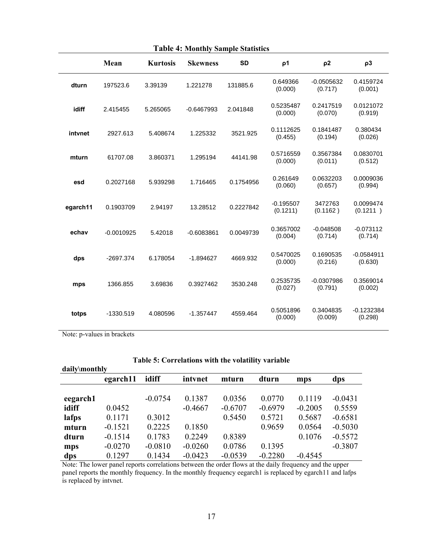| <b>Table 4: Monthly Sample Statistics</b> |              |                 |                 |           |                         |                         |                         |
|-------------------------------------------|--------------|-----------------|-----------------|-----------|-------------------------|-------------------------|-------------------------|
|                                           | Mean         | <b>Kurtosis</b> | <b>Skewness</b> | <b>SD</b> | ρ1                      | $\rho$ 2                | $\rho3$                 |
| dturn                                     | 197523.6     | 3.39139         | 1.221278        | 131885.6  | 0.649366<br>(0.000)     | $-0.0505632$<br>(0.717) | 0.4159724<br>(0.001)    |
| idiff                                     | 2.415455     | 5.265065        | $-0.6467993$    | 2.041848  | 0.5235487<br>(0.000)    | 0.2417519<br>(0.070)    | 0.0121072<br>(0.919)    |
| intvnet                                   | 2927.613     | 5.408674        | 1.225332        | 3521.925  | 0.1112625<br>(0.455)    | 0.1841487<br>(0.194)    | 0.380434<br>(0.026)     |
| mturn                                     | 61707.08     | 3.860371        | 1.295194        | 44141.98  | 0.5716559<br>(0.000)    | 0.3567384<br>(0.011)    | 0.0830701<br>(0.512)    |
| esd                                       | 0.2027168    | 5.939298        | 1.716465        | 0.1754956 | 0.261649<br>(0.060)     | 0.0632203<br>(0.657)    | 0.0009036<br>(0.994)    |
| egarch11                                  | 0.1903709    | 2.94197         | 13.28512        | 0.2227842 | $-0.195507$<br>(0.1211) | 3472763<br>(0.1162)     | 0.0099474<br>(0.1211)   |
| echav                                     | $-0.0010925$ | 5.42018         | $-0.6083861$    | 0.0049739 | 0.3657002<br>(0.004)    | $-0.048508$<br>(0.714)  | $-0.073112$<br>(0.714)  |
| dps                                       | $-2697.374$  | 6.178054        | $-1.894627$     | 4669.932  | 0.5470025<br>(0.000)    | 0.1690535<br>(0.216)    | $-0.0584911$<br>(0.630) |
| mps                                       | 1366.855     | 3.69836         | 0.3927462       | 3530.248  | 0.2535735<br>(0.027)    | $-0.0307986$<br>(0.791) | 0.3569014<br>(0.002)    |
| totps                                     | -1330.519    | 4.080596        | $-1.357447$     | 4559.464  | 0.5051896<br>(0.000)    | 0.3404835<br>(0.009)    | $-0.1232384$<br>(0.298) |

Note: p-values in brackets

| Table 5: Correlations with the volatility variable |  |  |
|----------------------------------------------------|--|--|
|                                                    |  |  |

| daily\monthly |           |           |           |           |           |           |           |
|---------------|-----------|-----------|-----------|-----------|-----------|-----------|-----------|
|               | egarch11  | idiff     | intynet   | mturn     | dturn     | mps       | dps       |
|               |           |           |           |           |           |           |           |
| eegarch1      |           | $-0.0754$ | 0.1387    | 0.0356    | 0.0770    | 0.1119    | $-0.0431$ |
| idiff         | 0.0452    |           | $-0.4667$ | $-0.6707$ | $-0.6979$ | $-0.2005$ | 0.5559    |
| lafps         | 0.1171    | 0.3012    |           | 0.5450    | 0.5721    | 0.5687    | $-0.6581$ |
| mturn         | $-0.1521$ | 0.2225    | 0.1850    |           | 0.9659    | 0.0564    | $-0.5030$ |
| dturn         | $-0.1514$ | 0.1783    | 0.2249    | 0.8389    |           | 0.1076    | $-0.5572$ |
| mps           | $-0.0270$ | $-0.0810$ | $-0.0260$ | 0.0786    | 0.1395    |           | $-0.3807$ |
| dps           | 0.1297    | 0.1434    | $-0.0423$ | $-0.0539$ | $-0.2280$ | $-0.4545$ |           |

Note: The lower panel reports correlations between the order flows at the daily frequency and the upper panel reports the monthly frequency. In the monthly frequency eegarch1 is replaced by egarch11 and lafps is replaced by intvnet.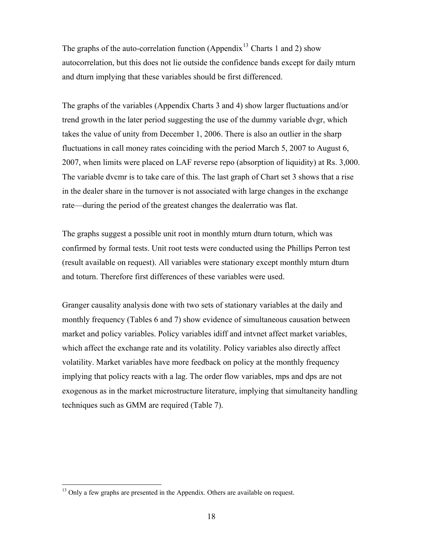The graphs of the auto-correlation function (Appendix<sup>[13](#page-17-0)</sup> Charts 1 and 2) show autocorrelation, but this does not lie outside the confidence bands except for daily mturn and dturn implying that these variables should be first differenced.

The graphs of the variables (Appendix Charts 3 and 4) show larger fluctuations and/or trend growth in the later period suggesting the use of the dummy variable dvgr, which takes the value of unity from December 1, 2006. There is also an outlier in the sharp fluctuations in call money rates coinciding with the period March 5, 2007 to August 6, 2007, when limits were placed on LAF reverse repo (absorption of liquidity) at Rs. 3,000. The variable dvcmr is to take care of this. The last graph of Chart set 3 shows that a rise in the dealer share in the turnover is not associated with large changes in the exchange rate—during the period of the greatest changes the dealerratio was flat.

The graphs suggest a possible unit root in monthly mturn dturn toturn, which was confirmed by formal tests. Unit root tests were conducted using the Phillips Perron test (result available on request). All variables were stationary except monthly mturn dturn and toturn. Therefore first differences of these variables were used.

Granger causality analysis done with two sets of stationary variables at the daily and monthly frequency (Tables 6 and 7) show evidence of simultaneous causation between market and policy variables. Policy variables idiff and intvnet affect market variables, which affect the exchange rate and its volatility. Policy variables also directly affect volatility. Market variables have more feedback on policy at the monthly frequency implying that policy reacts with a lag. The order flow variables, mps and dps are not exogenous as in the market microstructure literature, implying that simultaneity handling techniques such as GMM are required (Table 7).

<span id="page-17-0"></span><sup>&</sup>lt;sup>13</sup> Only a few graphs are presented in the Appendix. Others are available on request.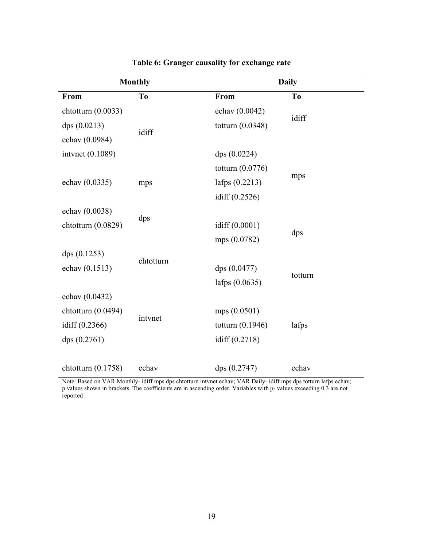|                      | <b>Monthly</b> | <b>Daily</b>       |                |  |
|----------------------|----------------|--------------------|----------------|--|
| <b>From</b>          | T <sub>o</sub> | From               | T <sub>o</sub> |  |
| chtotturn (0.0033)   |                | echav (0.0042)     |                |  |
| dps (0.0213)         | idiff          | totturn $(0.0348)$ | idiff          |  |
| echav (0.0984)       |                |                    |                |  |
| intvnet (0.1089)     |                | dps(0.0224)        |                |  |
|                      |                | totturn $(0.0776)$ |                |  |
| echav (0.0335)       | mps            | lafps $(0.2213)$   | mps            |  |
|                      |                | idiff $(0.2526)$   |                |  |
| echav (0.0038)       |                |                    |                |  |
| chtotturn (0.0829)   | dps            | idiff (0.0001)     |                |  |
|                      |                | mps (0.0782)       | dps            |  |
| dps(0.1253)          | chtotturn      |                    |                |  |
| echav (0.1513)       |                | dps (0.0477)       | totturn        |  |
|                      |                | lafps $(0.0635)$   |                |  |
| echav (0.0432)       |                |                    |                |  |
| chtotturn (0.0494)   | intvnet        | mps(0.0501)        |                |  |
| idiff (0.2366)       |                | totturn $(0.1946)$ | lafps          |  |
| dps(0.2761)          |                | idiff $(0.2718)$   |                |  |
|                      |                |                    |                |  |
| chtotturn $(0.1758)$ | echav          | dps (0.2747)       | echav          |  |

# **Table 6: Granger causality for exchange rate**

Note: Based on VAR Monthly- idiff mps dps chtotturn intvnet echav; VAR Daily- idiff mps dps totturn lafps echav; p values shown in brackets. The coefficients are in ascending order. Variables with p- values exceeding 0.3 are not reported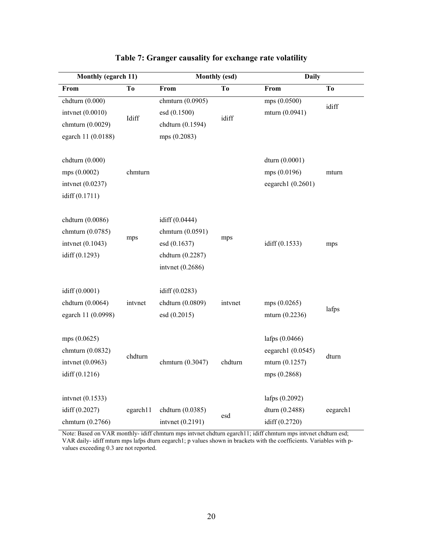| Monthly (egarch 11)                                                           |                | <b>Monthly (esd)</b>                                                                       |                | <b>Daily</b>                                                              |                |
|-------------------------------------------------------------------------------|----------------|--------------------------------------------------------------------------------------------|----------------|---------------------------------------------------------------------------|----------------|
| From                                                                          | T <sub>0</sub> | From                                                                                       | T <sub>o</sub> | From                                                                      | T <sub>o</sub> |
| chdturn (0.000)<br>intvnet (0.0010)<br>chmturn (0.0029)<br>egarch 11 (0.0188) | Idiff          | chmturn (0.0905)<br>esd (0.1500)<br>chdturn (0.1594)<br>mps (0.2083)                       | idiff          | mps (0.0500)<br>mturn (0.0941)                                            | idiff          |
| chdturn (0.000)<br>mps (0.0002)<br>intvnet (0.0237)<br>idiff (0.1711)         | chmturn        |                                                                                            |                | dturn (0.0001)<br>mps (0.0196)<br>eegarch1 (0.2601)                       | mturn          |
| chdturn (0.0086)<br>chmturn (0.0785)<br>intvnet (0.1043)<br>idiff (0.1293)    | mps            | idiff (0.0444)<br>chmturn (0.0591)<br>esd (0.1637)<br>chdturn (0.2287)<br>intvnet (0.2686) | mps            | idiff (0.1533)                                                            | mps            |
| idiff (0.0001)<br>chdturn (0.0064)<br>egarch 11 (0.0998)                      | intynet        | idiff (0.0283)<br>chdturn (0.0809)<br>esd (0.2015)                                         | intvnet        | mps (0.0265)<br>mturn (0.2236)                                            | lafps          |
| mps (0.0625)<br>chmturn (0.0832)<br>intvnet (0.0963)<br>idiff $(0.1216)$      | chdturn        | chmturn (0.3047)                                                                           | chdturn        | lafps $(0.0466)$<br>eegarch1 $(0.0545)$<br>mturn (0.1257)<br>mps (0.2868) | dturn          |
| intvnet $(0.1533)$<br>idiff (0.2027)<br>chmturn (0.2766)                      | egarch11       | chdturn (0.0385)<br>intvnet (0.2191)                                                       | esd            | lafps (0.2092)<br>dturn (0.2488)<br>idiff (0.2720)                        | eegarch1       |

# **Table 7: Granger causality for exchange rate volatility**

Note: Based on VAR monthly- idiff chmturn mps intvnet chdturn egarch11; idiff chmturn mps intvnet chdturn esd; VAR daily- idiff mturn mps lafps dturn eegarch1; p values shown in brackets with the coefficients. Variables with pvalues exceeding 0.3 are not reported.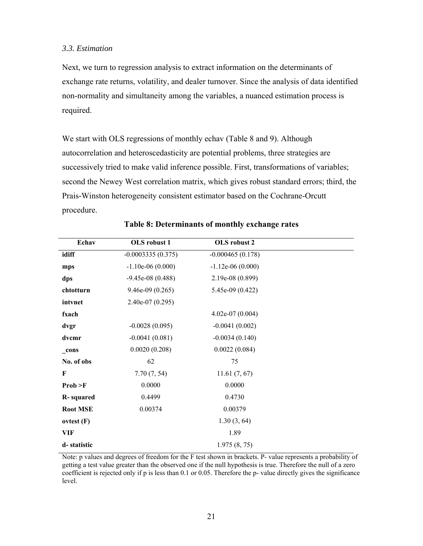#### *3.3. Estimation*

Next, we turn to regression analysis to extract information on the determinants of exchange rate returns, volatility, and dealer turnover. Since the analysis of data identified non-normality and simultaneity among the variables, a nuanced estimation process is required.

We start with OLS regressions of monthly echav (Table 8 and 9). Although autocorrelation and heteroscedasticity are potential problems, three strategies are successively tried to make valid inference possible. First, transformations of variables; second the Newey West correlation matrix, which gives robust standard errors; third, the Prais-Winston heterogeneity consistent estimator based on the Cochrane-Orcutt procedure.

| Echav             | OLS robust 1        | OLS robust 2       |  |
|-------------------|---------------------|--------------------|--|
| idiff             | $-0.0003335(0.375)$ | $-0.000465(0.178)$ |  |
| mps               | $-1.10e-06(0.000)$  | $-1.12e-06(0.000)$ |  |
| dps               | $-9.45e-08(0.488)$  | 2.19e-08 (0.899)   |  |
| chtotturn         | $9.46e-09(0.265)$   | $5.45e-09(0.422)$  |  |
| intvnet           | $2.40e-07(0.295)$   |                    |  |
| fxach             |                     | 4.02e-07 $(0.004)$ |  |
| dvgr              | $-0.0028(0.095)$    | $-0.0041(0.002)$   |  |
| dvcmr             | $-0.0041(0.081)$    | $-0.0034(0.140)$   |  |
| _cons             | 0.0020(0.208)       | 0.0022(0.084)      |  |
| No. of obs        | 62                  | 75                 |  |
| F                 | 7.70(7, 54)         | 11.61(7, 67)       |  |
| Prob > F          | 0.0000              | 0.0000             |  |
| <b>R</b> -squared | 0.4499              | 0.4730             |  |
| <b>Root MSE</b>   | 0.00374             | 0.00379            |  |
| ovtest(F)         |                     | 1.30(3, 64)        |  |
| VIF               |                     | 1.89               |  |
| d-statistic       |                     | 1.975(8, 75)       |  |

# **Table 8: Determinants of monthly exchange rates**

Note: p values and degrees of freedom for the F test shown in brackets. P- value represents a probability of getting a test value greater than the observed one if the null hypothesis is true. Therefore the null of a zero coefficient is rejected only if p is less than 0.1 or 0.05. Therefore the p- value directly gives the significance level.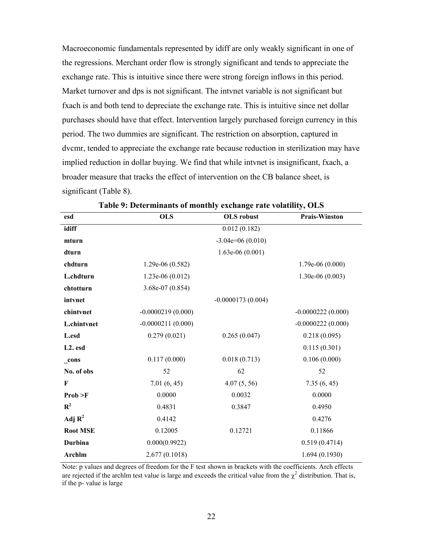Macroeconomic fundamentals represented by idiff are only weakly significant in one of the regressions. Merchant order flow is strongly significant and tends to appreciate the exchange rate. This is intuitive since there were strong foreign inflows in this period. Market turnover and dps is not significant. The intvnet variable is not significant but fxach is and both tend to depreciate the exchange rate. This is intuitive since net dollar purchases should have that effect. Intervention largely purchased foreign currency in this period. The two dummies are significant. The restriction on absorption, captured in dvcmr, tended to appreciate the exchange rate because reduction in sterilization may have implied reduction in dollar buying. We find that while intvnet is insignificant, fxach, a broader measure that tracks the effect of intervention on the CB balance sheet, is significant (Table 8).

| esd                  | <b>OLS</b>          | <b>OLS</b> robust   | <b>Prais-Winston</b> |
|----------------------|---------------------|---------------------|----------------------|
| idiff                |                     | 0.012(0.182)        |                      |
| mturn                |                     | $-3.04e=06(0.010)$  |                      |
| dturn                |                     | $1.63e-06(0.001)$   |                      |
| chdturn              | $1.29e-06(0.582)$   |                     | $1.79e-06(0.000)$    |
| L.chdturn            | $1.23e-06(0.012)$   |                     | $1.30e-06(0.003)$    |
| chtotturn            | $3.68e-07(0.854)$   |                     |                      |
| intvnet              |                     | $-0.0000173(0.004)$ |                      |
| chintvnet            | $-0.0000219(0.000)$ |                     | $-0.0000222(0.000)$  |
| <b>L.chintvnet</b>   | $-0.0000211(0.000)$ |                     | $-0.0000222(0.000)$  |
| L.esd                | 0.279(0.021)        | 0.265(0.047)        | 0.218(0.095)         |
| L <sub>2</sub> . esd |                     |                     | 0.115(0.301)         |
| cons                 | 0.117(0.000)        | 0.018(0.713)        | 0.106(0.000)         |
| No. of obs           | 52                  | 62                  | 52                   |
| F                    | 7.01(6, 45)         | 4.07(5, 56)         | 7.35(6, 45)          |
| Prob > F             | 0.0000              | 0.0032              | 0.0000               |
| $R^2$                | 0.4831              | 0.3847              | 0.4950               |
| Adj $\mathbf{R}^2$   | 0.4142              |                     | 0.4276               |
| <b>Root MSE</b>      | 0.12005             | 0.12721             | 0.11866              |
| <b>Durbina</b>       | 0.000(0.9922)       |                     | 0.519(0.4714)        |
| Archlm               | 2.677(0.1018)       |                     | 1.694(0.1930)        |

**Table 9: Determinants of monthly exchange rate volatility, OLS** 

Note: p values and degrees of freedom for the F test shown in brackets with the coefficients. Arch effects are rejected if the archim test value is large and exceeds the critical value from the  $\chi^2$  distribution. That is, if the p- value is large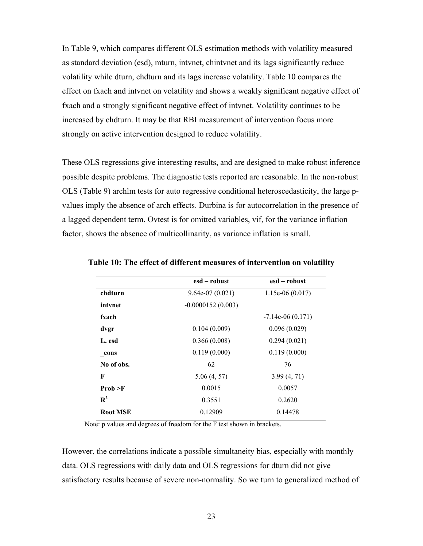In Table 9, which compares different OLS estimation methods with volatility measured as standard deviation (esd), mturn, intvnet, chintvnet and its lags significantly reduce volatility while dturn, chdturn and its lags increase volatility. Table 10 compares the effect on fxach and intvnet on volatility and shows a weakly significant negative effect of fxach and a strongly significant negative effect of intvnet. Volatility continues to be increased by chdturn. It may be that RBI measurement of intervention focus more strongly on active intervention designed to reduce volatility.

These OLS regressions give interesting results, and are designed to make robust inference possible despite problems. The diagnostic tests reported are reasonable. In the non-robust OLS (Table 9) archlm tests for auto regressive conditional heteroscedasticity, the large pvalues imply the absence of arch effects. Durbina is for autocorrelation in the presence of a lagged dependent term. Ovtest is for omitted variables, vif, for the variance inflation factor, shows the absence of multicollinarity, as variance inflation is small.

|                 | esd – robust        | esd – robust       |
|-----------------|---------------------|--------------------|
| chdturn         | $9.64e-07(0.021)$   | $1.15e-06(0.017)$  |
| intynet         | $-0.0000152(0.003)$ |                    |
| fxach           |                     | $-7.14e-06(0.171)$ |
| dvgr            | 0.104(0.009)        | 0.096(0.029)       |
| L. esd          | 0.366(0.008)        | 0.294(0.021)       |
| cons            | 0.119(0.000)        | 0.119(0.000)       |
| No of obs.      | 62                  | 76                 |
| F               | 5.06(4, 57)         | 3.99(4, 71)        |
| Prob > F        | 0.0015              | 0.0057             |
| $R^2$           | 0.3551              | 0.2620             |
| <b>Root MSE</b> | 0.12909             | 0.14478            |

**Table 10: The effect of different measures of intervention on volatility**

Note: p values and degrees of freedom for the F test shown in brackets.

However, the correlations indicate a possible simultaneity bias, especially with monthly data. OLS regressions with daily data and OLS regressions for dturn did not give satisfactory results because of severe non-normality. So we turn to generalized method of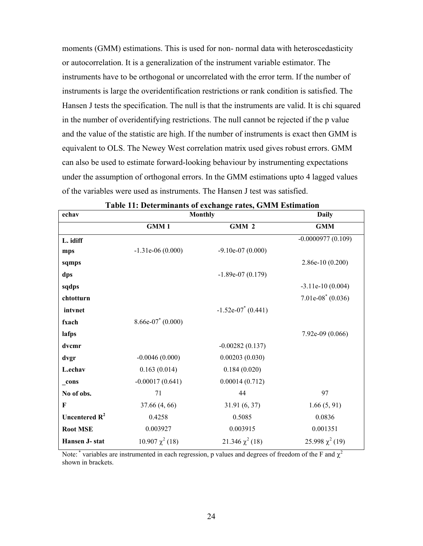moments (GMM) estimations. This is used for non- normal data with heteroscedasticity or autocorrelation. It is a generalization of the instrument variable estimator. The instruments have to be orthogonal or uncorrelated with the error term. If the number of instruments is large the overidentification restrictions or rank condition is satisfied. The Hansen J tests the specification. The null is that the instruments are valid. It is chi squared in the number of overidentifying restrictions. The null cannot be rejected if the p value and the value of the statistic are high. If the number of instruments is exact then GMM is equivalent to OLS. The Newey West correlation matrix used gives robust errors. GMM can also be used to estimate forward-looking behaviour by instrumenting expectations under the assumption of orthogonal errors. In the GMM estimations upto 4 lagged values of the variables were used as instruments. The Hansen J test was satisfied.

| echav            |                                 | <b>Monthly</b>                   | <b>Daily</b>         |
|------------------|---------------------------------|----------------------------------|----------------------|
|                  | GMM1                            | GMM 2                            | <b>GMM</b>           |
| L. idiff         |                                 |                                  | $-0.0000977(0.109)$  |
| mps              | $-1.31e-06(0.000)$              | $-9.10e-07(0.000)$               |                      |
| sqmps            |                                 |                                  | $2.86e-10(0.200)$    |
| dps              |                                 | $-1.89e-07(0.179)$               |                      |
| sqdps            |                                 |                                  | $-3.11e-10(0.004)$   |
| chtotturn        |                                 |                                  | $7.01e-08^*(0.036)$  |
| intvnet          |                                 | $-1.52e-07$ <sup>*</sup> (0.441) |                      |
| fxach            | $8.66e-07$ <sup>*</sup> (0.000) |                                  |                      |
| lafps            |                                 |                                  | 7.92e-09 (0.066)     |
| dvcmr            |                                 | $-0.00282(0.137)$                |                      |
| dvgr             | $-0.0046(0.000)$                | 0.00203(0.030)                   |                      |
| L.echav          | 0.163(0.014)                    | 0.184(0.020)                     |                      |
| $_{\rm cons}$    | $-0.00017(0.641)$               | 0.00014(0.712)                   |                      |
| No of obs.       | 71                              | 44                               | 97                   |
| F                | 37.66 (4, 66)                   | 31.91(6, 37)                     | 1.66(5, 91)          |
| Uncentered $R^2$ | 0.4258                          | 0.5085                           | 0.0836               |
| <b>Root MSE</b>  | 0.003927                        | 0.003915                         | 0.001351             |
| Hansen J- stat   | $10.907 \chi^2(18)$             | 21.346 $\chi^2$ (18)             | 25.998 $\chi^2$ (19) |

Note: \* variables are instrumented in each regression, p values and degrees of freedom of the F and  $\chi^2$ shown in brackets.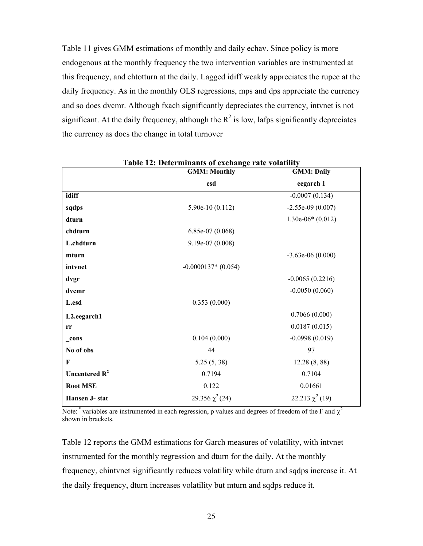Table 11 gives GMM estimations of monthly and daily echav. Since policy is more endogenous at the monthly frequency the two intervention variables are instrumented at this frequency, and chtotturn at the daily. Lagged idiff weakly appreciates the rupee at the daily frequency. As in the monthly OLS regressions, mps and dps appreciate the currency and so does dvcmr. Although fxach significantly depreciates the currency, intvnet is not significant. At the daily frequency, although the  $\mathbb{R}^2$  is low, lafps significantly depreciates the currency as does the change in total turnover

|                  | <b>GMM: Monthly</b>  | <b>GMM: Daily</b>    |
|------------------|----------------------|----------------------|
|                  | esd                  | eegarch 1            |
| idiff            |                      | $-0.0007(0.134)$     |
| sqdps            | $5.90e-10(0.112)$    | $-2.55e-09(0.007)$   |
| dturn            |                      | $1.30e-06*(0.012)$   |
| chdturn          | $6.85e-07(0.068)$    |                      |
| L.chdturn        | 9.19e-07 (0.008)     |                      |
| mturn            |                      | $-3.63e-06(0.000)$   |
| intvnet          | $-0.0000137*(0.054)$ |                      |
| dvgr             |                      | $-0.0065(0.2216)$    |
| dvcmr            |                      | $-0.0050(0.060)$     |
| L.esd            | 0.353(0.000)         |                      |
| L2.eegarch1      |                      | 0.7066(0.000)        |
| rr               |                      | 0.0187(0.015)        |
| cons             | 0.104(0.000)         | $-0.0998(0.019)$     |
| No of obs        | 44                   | 97                   |
| $\mathbf{F}$     | 5.25(5, 38)          | 12.28(8, 88)         |
| Uncentered $R^2$ | 0.7194               | 0.7104               |
| <b>Root MSE</b>  | 0.122                | 0.01661              |
| Hansen J-stat    | 29.356 $\chi^2$ (24) | 22.213 $\chi^2$ (19) |

**Table 12: Determinants of exchange rate volatility** 

Note: \* variables are instrumented in each regression, p values and degrees of freedom of the F and  $\chi^2$ shown in brackets.

Table 12 reports the GMM estimations for Garch measures of volatility, with intvnet instrumented for the monthly regression and dturn for the daily. At the monthly frequency, chintvnet significantly reduces volatility while dturn and sqdps increase it. At the daily frequency, dturn increases volatility but mturn and sqdps reduce it.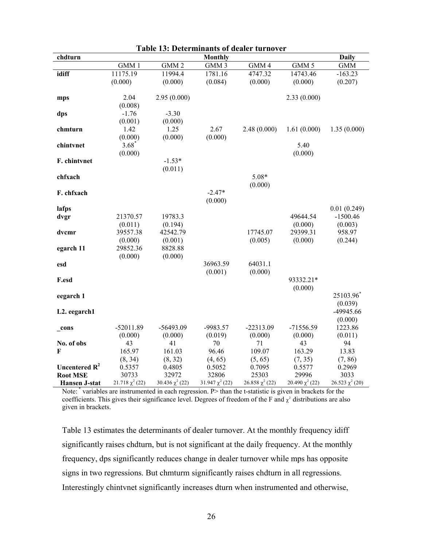| <b>Daily</b><br>chdturn<br><b>Monthly</b><br>GMM 4<br>GMM 1<br>GMM <sub>2</sub><br>GMM <sub>3</sub><br>GMM 5<br><b>GMM</b><br>idiff<br>11175.19<br>11994.4<br>1781.16<br>4747.32<br>14743.46<br>$-163.23$<br>(0.000)<br>(0.000)<br>(0.084)<br>(0.000)<br>(0.000)<br>(0.207)<br>2.04<br>2.95(0.000)<br>2.33(0.000)<br>mps<br>(0.008) |
|-------------------------------------------------------------------------------------------------------------------------------------------------------------------------------------------------------------------------------------------------------------------------------------------------------------------------------------|
|                                                                                                                                                                                                                                                                                                                                     |
|                                                                                                                                                                                                                                                                                                                                     |
|                                                                                                                                                                                                                                                                                                                                     |
|                                                                                                                                                                                                                                                                                                                                     |
|                                                                                                                                                                                                                                                                                                                                     |
|                                                                                                                                                                                                                                                                                                                                     |
|                                                                                                                                                                                                                                                                                                                                     |
| $-1.76$<br>$-3.30$<br>dps                                                                                                                                                                                                                                                                                                           |
| (0.001)<br>(0.000)                                                                                                                                                                                                                                                                                                                  |
| 1.25<br>2.67<br>2.48(0.000)<br>1.61(0.000)<br>1.42<br>1.35(0.000)<br>chmturn                                                                                                                                                                                                                                                        |
| (0.000)<br>(0.000)<br>(0.000)                                                                                                                                                                                                                                                                                                       |
|                                                                                                                                                                                                                                                                                                                                     |
| $3.68*$<br>5.40<br>chintvnet                                                                                                                                                                                                                                                                                                        |
| (0.000)<br>(0.000)                                                                                                                                                                                                                                                                                                                  |
| $-1.53*$<br>F. chintvnet                                                                                                                                                                                                                                                                                                            |
| (0.011)                                                                                                                                                                                                                                                                                                                             |
| $5.08*$<br>chfxach                                                                                                                                                                                                                                                                                                                  |
| (0.000)                                                                                                                                                                                                                                                                                                                             |
| $-2.47*$<br>F. chfxach                                                                                                                                                                                                                                                                                                              |
| (0.000)                                                                                                                                                                                                                                                                                                                             |
| lafps<br>0.01(0.249)                                                                                                                                                                                                                                                                                                                |
| 19783.3<br>49644.54<br>$-1500.46$<br>21370.57<br>dvgr                                                                                                                                                                                                                                                                               |
| (0.011)<br>(0.194)<br>(0.000)<br>(0.003)                                                                                                                                                                                                                                                                                            |
| 39557.38<br>17745.07<br>29399.31<br>958.97<br>dvcmr<br>42542.79                                                                                                                                                                                                                                                                     |
| (0.005)<br>(0.000)<br>(0.244)<br>(0.000)<br>(0.001)                                                                                                                                                                                                                                                                                 |
| 8828.88<br>29852.36<br>egarch 11                                                                                                                                                                                                                                                                                                    |
| (0.000)<br>(0.000)                                                                                                                                                                                                                                                                                                                  |
| 36963.59<br>64031.1                                                                                                                                                                                                                                                                                                                 |
| esd                                                                                                                                                                                                                                                                                                                                 |
| (0.001)<br>(0.000)                                                                                                                                                                                                                                                                                                                  |
| 93332.21*<br>F.esd                                                                                                                                                                                                                                                                                                                  |
| (0.000)                                                                                                                                                                                                                                                                                                                             |
| 25103.96<br>eegarch 1                                                                                                                                                                                                                                                                                                               |
| (0.039)                                                                                                                                                                                                                                                                                                                             |
| -49945.66<br>L2. eegarch1                                                                                                                                                                                                                                                                                                           |
| (0.000)                                                                                                                                                                                                                                                                                                                             |
| $-71556.59$<br>1223.86<br>$-52011.89$<br>$-56493.09$<br>-9983.57<br>$-22313.09$<br>_cons                                                                                                                                                                                                                                            |
| (0.000)<br>(0.000)<br>(0.019)<br>(0.000)<br>(0.000)<br>(0.011)                                                                                                                                                                                                                                                                      |
| No. of obs<br>43<br>41<br>70<br>71<br>43<br>94                                                                                                                                                                                                                                                                                      |
| 165.97<br>161.03<br>96.46<br>109.07<br>163.29<br>13.83<br>F                                                                                                                                                                                                                                                                         |
| (8, 32)<br>(8, 34)<br>(4, 65)<br>(5, 65)<br>(7, 35)<br>(7, 86)                                                                                                                                                                                                                                                                      |
| Uncentered $R^2$<br>0.4805<br>0.5577<br>0.5357<br>0.5052<br>0.7095<br>0.2969                                                                                                                                                                                                                                                        |
| <b>Root MSE</b><br>30733<br>32972<br>32806<br>25303<br>29996<br>3033                                                                                                                                                                                                                                                                |
| $21.718 \chi^2(22)$<br>30.436 $\chi^2$ (22)<br>$31.947 \chi^2(22)$<br>$26.858 \chi^2(22)$<br>20.490 $\chi^2$ (22)<br>$26.523 \chi^2(20)$<br><b>Hansen J-stat</b>                                                                                                                                                                    |

| <b>Table 13: Determinants of dealer turnover</b> |
|--------------------------------------------------|
|--------------------------------------------------|

Note: \* variables are instrumented in each regression. P> than the t-statistic is given in brackets for the coefficients. This gives their significance level. Degrees of freedom of the F and  $\chi^2$  distributions are also given in brackets.

Table 13 estimates the determinants of dealer turnover. At the monthly frequency idiff significantly raises chdturn, but is not significant at the daily frequency. At the monthly frequency, dps significantly reduces change in dealer turnover while mps has opposite signs in two regressions. But chmturm significantly raises chdturn in all regressions. Interestingly chintvnet significantly increases dturn when instrumented and otherwise,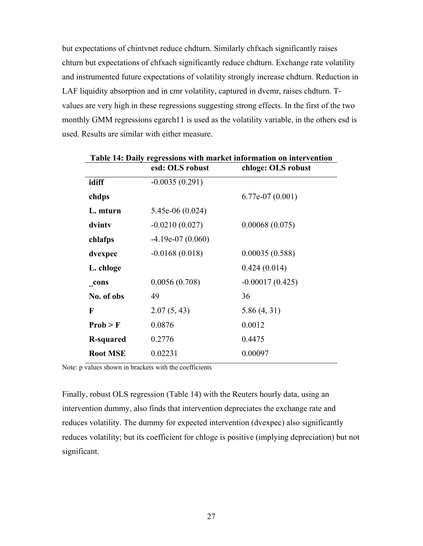but expectations of chintvnet reduce chdturn. Similarly chfxach significantly raises chturn but expectations of chfxach significantly reduce chdturn. Exchange rate volatility and instrumented future expectations of volatility strongly increase chdturn. Reduction in LAF liquidity absorption and in cmr volatility, captured in dvcmr, raises chdturn. Tvalues are very high in these regressions suggesting strong effects. In the first of the two monthly GMM regressions egarch11 is used as the volatility variable, in the others esd is used. Results are similar with either measure.

|                  | esd: OLS robust    | chloge: OLS robust |
|------------------|--------------------|--------------------|
| idiff            | $-0.0035(0.291)$   |                    |
| chdps            |                    | $6.77e-07(0.001)$  |
| L. mturn         | $5.45e-06(0.024)$  |                    |
| dvinty           | $-0.0210(0.027)$   | 0.00068(0.075)     |
| chlafps          | $-4.19e-07(0.060)$ |                    |
| dvexpec          | $-0.0168(0.018)$   | 0.00035(0.588)     |
| L. chloge        |                    | 0.424(0.014)       |
| cons             | 0.0056(0.708)      | $-0.00017(0.425)$  |
| No. of obs       | 49                 | 36                 |
| $\mathbf F$      | 2.07(5, 43)        | 5.86(4, 31)        |
| Prob > F         | 0.0876             | 0.0012             |
| <b>R-squared</b> | 0.2776             | 0.4475             |
| <b>Root MSE</b>  | 0.02231            | 0.00097            |
|                  |                    |                    |

**Table 14: Daily regressions with market information on intervention** 

Note: p values shown in brackets with the coefficients

Finally, robust OLS regression (Table 14) with the Reuters hourly data, using an intervention dummy, also finds that intervention depreciates the exchange rate and reduces volatility. The dummy for expected intervention (dvexpec) also significantly reduces volatility; but its coefficient for chloge is positive (implying depreciation) but not significant.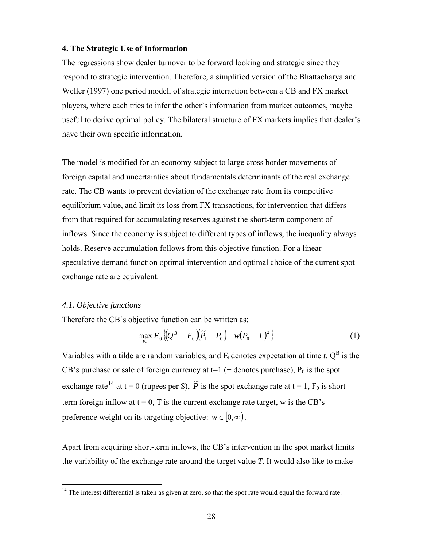#### **4. The Strategic Use of Information**

The regressions show dealer turnover to be forward looking and strategic since they respond to strategic intervention. Therefore, a simplified version of the Bhattacharya and Weller (1997) one period model, of strategic interaction between a CB and FX market players, where each tries to infer the other's information from market outcomes, maybe useful to derive optimal policy. The bilateral structure of FX markets implies that dealer's have their own specific information.

The model is modified for an economy subject to large cross border movements of foreign capital and uncertainties about fundamentals determinants of the real exchange rate. The CB wants to prevent deviation of the exchange rate from its competitive equilibrium value, and limit its loss from FX transactions, for intervention that differs from that required for accumulating reserves against the short-term component of inflows. Since the economy is subject to different types of inflows, the inequality always holds. Reserve accumulation follows from this objective function. For a linear speculative demand function optimal intervention and optimal choice of the current spot exchange rate are equivalent.

## *4.1. Objective functions*

 $\overline{a}$ 

Therefore the CB's objective function can be written as:

$$
\max_{P_0} E_0 \left\{ (Q^B - F_0) (\widetilde{P}_1 - P_0) - w (P_0 - T)^2 \right\} \tag{1}
$$

Variables with a tilde are random variables, and  $E_t$  denotes expectation at time *t*.  $Q^B$  is the CB's purchase or sale of foreign currency at  $t=1$  (+ denotes purchase),  $P_0$  is the spot exchange rate<sup>[14](#page-27-0)</sup> at t = 0 (rupees per \$),  $\tilde{P}_1$  is the spot exchange rate at t = 1,  $F_0$  is short term foreign inflow at  $t = 0$ , T is the current exchange rate target, w is the CB's preference weight on its targeting objective:  $w \in [0, \infty)$ .

Apart from acquiring short-term inflows, the CB's intervention in the spot market limits the variability of the exchange rate around the target value *T*. It would also like to make

<span id="page-27-0"></span> $14$  The interest differential is taken as given at zero, so that the spot rate would equal the forward rate.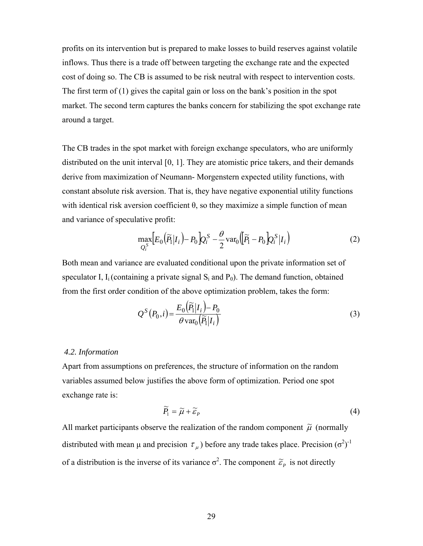profits on its intervention but is prepared to make losses to build reserves against volatile inflows. Thus there is a trade off between targeting the exchange rate and the expected cost of doing so. The CB is assumed to be risk neutral with respect to intervention costs. The first term of (1) gives the capital gain or loss on the bank's position in the spot market. The second term captures the banks concern for stabilizing the spot exchange rate around a target.

The CB trades in the spot market with foreign exchange speculators, who are uniformly distributed on the unit interval [0, 1]. They are atomistic price takers, and their demands derive from maximization of Neumann- Morgenstern expected utility functions, with constant absolute risk aversion. That is, they have negative exponential utility functions with identical risk aversion coefficient  $\theta$ , so they maximize a simple function of mean and variance of speculative profit:

$$
\max_{Q_i^S} \Bigl[ E_0\bigl( \widetilde{P}_1 | I_i \bigr) - P_0 \Bigr] Q_i^S - \frac{\theta}{2} \text{var}_0 \Bigl( \widetilde{P}_1 - P_0 \Bigr) Q_i^S | I_i \Bigr) \tag{2}
$$

Both mean and variance are evaluated conditional upon the private information set of speculator I,  $I_i$  (containing a private signal  $S_i$  and  $P_0$ ). The demand function, obtained from the first order condition of the above optimization problem, takes the form:

$$
Q^{S}(P_0, i) = \frac{E_0(\widetilde{P}_1|I_i) - P_0}{\theta \operatorname{var}_0(\widetilde{P}_1|I_i)}
$$
(3)

#### *4.2. Information*

Apart from assumptions on preferences, the structure of information on the random variables assumed below justifies the above form of optimization. Period one spot exchange rate is:

$$
\widetilde{P}_1 = \widetilde{\mu} + \widetilde{\varepsilon}_P \tag{4}
$$

All market participants observe the realization of the random component  $\tilde{\mu}$  (normally distributed with mean  $\mu$  and precision  $\tau_{\mu}$ ) before any trade takes place. Precision  $(\sigma^2)^{-1}$ of a distribution is the inverse of its variance  $\sigma^2$ . The component  $\tilde{\varepsilon}_p$  is not directly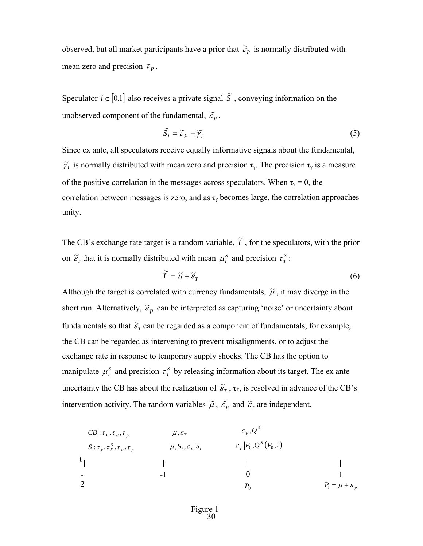observed, but all market participants have a prior that  $\tilde{\varepsilon}_p$  is normally distributed with mean zero and precision  $\tau_p$ .

Speculator  $i \in [0,1]$  also receives a private signal  $\tilde{S}_i$ , conveying information on the unobserved component of the fundamental,  $\widetilde{\varepsilon}_P$ .

$$
\widetilde{S}_i = \widetilde{\varepsilon}_P + \widetilde{\gamma}_i \tag{5}
$$

Since ex ante, all speculators receive equally informative signals about the fundamental,  $\tilde{\gamma}_i$  is normally distributed with mean zero and precision  $\tau_\gamma$ . The precision  $\tau_\gamma$  is a measure of the positive correlation in the messages across speculators. When  $\tau_{\gamma} = 0$ , the correlation between messages is zero, and as  $\tau$ <sub>γ</sub> becomes large, the correlation approaches unity.

The CB's exchange rate target is a random variable,  $\tilde{T}$ , for the speculators, with the prior on  $\tilde{\epsilon}_T$  that it is normally distributed with mean  $\mu_T^s$  and precision  $\tau_T^s$ :

$$
\widetilde{T} = \widetilde{\mu} + \widetilde{\varepsilon}_T \tag{6}
$$

Although the target is correlated with currency fundamentals,  $\tilde{\mu}$ , it may diverge in the short run. Alternatively,  $\tilde{\varepsilon}_p$  can be interpreted as capturing 'noise' or uncertainty about fundamentals so that  $\widetilde{\varepsilon}_r$  can be regarded as a component of fundamentals, for example, the CB can be regarded as intervening to prevent misalignments, or to adjust the exchange rate in response to temporary supply shocks. The CB has the option to manipulate  $\mu^S$  and precision  $\tau^S$  by releasing information about its target. The ex ante uncertainty the CB has about the realization of  $\tilde{\epsilon}_T$ ,  $\tau_T$ , is resolved in advance of the CB's intervention activity. The random variables  $\tilde{\mu}$ ,  $\tilde{\varepsilon}_p$  and  $\tilde{\varepsilon}_r$  are independent.

$$
CB: \tau_T, \tau_{\mu}, \tau_p
$$
\n
$$
B: \tau_{\gamma}, \tau_T^S, \tau_{\mu}, \tau_p
$$
\n
$$
B: \tau_{\gamma}, \tau_T^S, \tau_{\mu}, \tau_p
$$
\n
$$
A, S_i, \varepsilon_p | S_i
$$
\n
$$
B_p | P_0, Q^S (P_0, i)
$$
\n
$$
B_p | P_0, Q^S (P_0, i)
$$
\n
$$
B_p | P_0, Q^S (P_0, i)
$$
\n
$$
B_p | P_0, Q^S (P_0, i)
$$
\n
$$
B_p | P_0, Q^S (P_0, i)
$$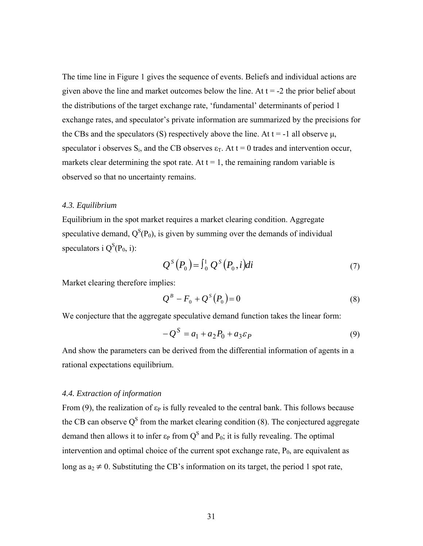The time line in Figure 1 gives the sequence of events. Beliefs and individual actions are given above the line and market outcomes below the line. At  $t = -2$  the prior belief about the distributions of the target exchange rate, 'fundamental' determinants of period 1 exchange rates, and speculator's private information are summarized by the precisions for the CBs and the speculators (S) respectively above the line. At  $t = -1$  all observe  $\mu$ , speculator i observes  $S_i$ , and the CB observes  $\varepsilon_T$ . At  $t = 0$  trades and intervention occur, markets clear determining the spot rate. At  $t = 1$ , the remaining random variable is observed so that no uncertainty remains.

#### *4.3. Equilibrium*

Equilibrium in the spot market requires a market clearing condition. Aggregate speculative demand,  $Q^{S}(P_0)$ , is given by summing over the demands of individual speculators i  $Q^{S}(P_0, i)$ :

$$
Q^{S}(P_0) = \int_0^1 Q^{S}(P_0, i)di
$$
\n(7)

Market clearing therefore implies:

$$
Q^B - F_0 + Q^S(P_0) = 0 \tag{8}
$$

We conjecture that the aggregate speculative demand function takes the linear form:

$$
-Q^{S} = a_1 + a_2 P_0 + a_3 \varepsilon_P \tag{9}
$$

And show the parameters can be derived from the differential information of agents in a rational expectations equilibrium.

#### *4.4. Extraction of information*

From (9), the realization of  $\varepsilon_P$  is fully revealed to the central bank. This follows because the CB can observe  $Q^S$  from the market clearing condition (8). The conjectured aggregate demand then allows it to infer  $\varepsilon_P$  from  $Q^S$  and  $P_0$ ; it is fully revealing. The optimal intervention and optimal choice of the current spot exchange rate,  $P_0$ , are equivalent as long as  $a_2 \neq 0$ . Substituting the CB's information on its target, the period 1 spot rate,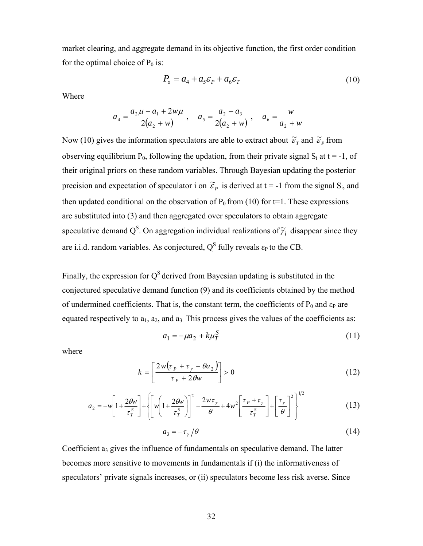market clearing, and aggregate demand in its objective function, the first order condition for the optimal choice of  $P_0$  is:

$$
P_o = a_4 + a_5 \varepsilon_P + a_6 \varepsilon_T \tag{10}
$$

Where

$$
a_4 = \frac{a_2\mu - a_1 + 2w\mu}{2(a_2 + w)}, \quad a_5 = \frac{a_2 - a_3}{2(a_2 + w)}, \quad a_6 = \frac{w}{a_2 + w}
$$

Now (10) gives the information speculators are able to extract about  $\tilde{\varepsilon}_r$  and  $\tilde{\varepsilon}_r$  from observing equilibrium  $P_0$ , following the updation, from their private signal  $S_i$  at  $t = -1$ , of their original priors on these random variables. Through Bayesian updating the posterior precision and expectation of speculator i on  $\tilde{\varepsilon}_p$  is derived at t = -1 from the signal S<sub>i</sub>, and then updated conditional on the observation of  $P_0$  from (10) for t=1. These expressions are substituted into (3) and then aggregated over speculators to obtain aggregate speculative demand Q<sup>S</sup>. On aggregation individual realizations of  $\widetilde{\gamma}_i$  disappear since they are i.i.d. random variables. As conjectured,  $Q<sup>S</sup>$  fully reveals  $\varepsilon_P$  to the CB.

Finally, the expression for  $Q<sup>S</sup>$  derived from Bayesian updating is substituted in the conjectured speculative demand function (9) and its coefficients obtained by the method of undermined coefficients. That is, the constant term, the coefficients of  $P_0$  and  $\varepsilon_P$  are equated respectively to  $a_1$ ,  $a_2$ , and  $a_3$ . This process gives the values of the coefficients as:

$$
a_1 = -\mu a_2 + k\mu_T^S \tag{11}
$$

where

$$
k = \left[\frac{2w(\tau_p + \tau_y - \theta a_2)}{\tau_p + 2\theta w}\right] > 0
$$
\n(12)

$$
a_2 = -w \left[ 1 + \frac{2\theta w}{\tau_T^s} \right] + \left[ w \left( 1 + \frac{2\theta w}{\tau_T^s} \right) \right]^2 - \frac{2w\tau_y}{\theta} + 4w^2 \left[ \frac{\tau_p + \tau_y}{\tau_T^s} \right] + \left[ \frac{\tau_y}{\theta} \right]^2 \right]^{1/2}
$$
(13)

$$
a_3 = -\tau_{\gamma}/\theta \tag{14}
$$

Coefficient  $a_3$  gives the influence of fundamentals on speculative demand. The latter becomes more sensitive to movements in fundamentals if (i) the informativeness of speculators' private signals increases, or (ii) speculators become less risk averse. Since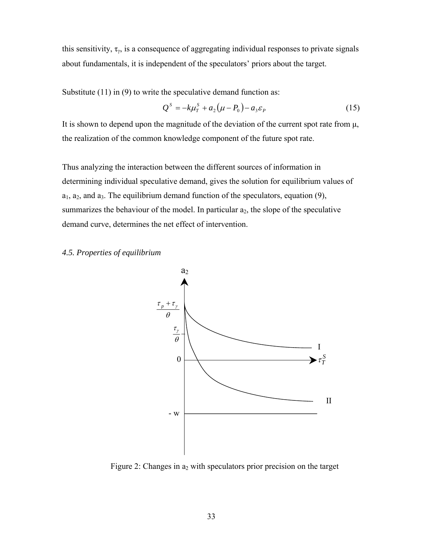this sensitivity,  $\tau_{\gamma}$ , is a consequence of aggregating individual responses to private signals about fundamentals, it is independent of the speculators' priors about the target.

Substitute (11) in (9) to write the speculative demand function as:

$$
Q^S = -k\mu_T^S + a_2(\mu - P_0) - a_3 \varepsilon_P \tag{15}
$$

It is shown to depend upon the magnitude of the deviation of the current spot rate from μ, the realization of the common knowledge component of the future spot rate.

Thus analyzing the interaction between the different sources of information in determining individual speculative demand, gives the solution for equilibrium values of  $a_1, a_2,$  and  $a_3$ . The equilibrium demand function of the speculators, equation (9), summarizes the behaviour of the model. In particular  $a_2$ , the slope of the speculative demand curve, determines the net effect of intervention.

## *4.5. Properties of equilibrium*



Figure 2: Changes in  $a_2$  with speculators prior precision on the target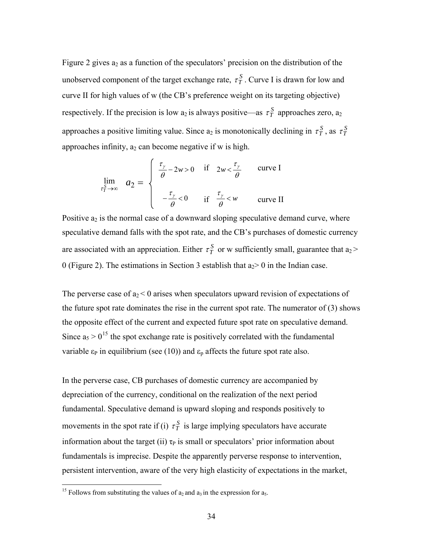Figure 2 gives  $a_2$  as a function of the speculators' precision on the distribution of the unobserved component of the target exchange rate,  $\tau_T^S$ . Curve I is drawn for low and curve II for high values of w (the CB's preference weight on its targeting objective) respectively. If the precision is low  $a_2$  is always positive—as  $\tau_T^S$  approaches zero,  $a_2$ approaches a positive limiting value. Since  $a_2$  is monotonically declining in  $\tau_T^S$ , as  $\tau_T^S$ approaches infinity,  $a_2$  can become negative if w is high.

$$
\lim_{\tau_T^S \to \infty} a_2 = \begin{cases} \frac{\tau_\gamma}{\theta} - 2w > 0 \quad \text{if} \quad 2w < \frac{\tau_\gamma}{\theta} \quad \text{curve I} \\ -\frac{\tau_\gamma}{\theta} < 0 \quad \text{if} \quad \frac{\tau_\gamma}{\theta} < w \quad \text{curve II} \end{cases}
$$

Positive  $a_2$  is the normal case of a downward sloping speculative demand curve, where speculative demand falls with the spot rate, and the CB's purchases of domestic currency are associated with an appreciation. Either  $\tau_T^S$  or w sufficiently small, guarantee that a<sub>2</sub> > 0 (Figure 2). The estimations in Section 3 establish that  $a_2 > 0$  in the Indian case.

The perverse case of  $a_2 < 0$  arises when speculators upward revision of expectations of the future spot rate dominates the rise in the current spot rate. The numerator of (3) shows the opposite effect of the current and expected future spot rate on speculative demand. Since  $a_5 > 0^{15}$  $a_5 > 0^{15}$  $a_5 > 0^{15}$  the spot exchange rate is positively correlated with the fundamental variable  $\varepsilon_P$  in equilibrium (see (10)) and  $\varepsilon_p$  affects the future spot rate also.

In the perverse case, CB purchases of domestic currency are accompanied by depreciation of the currency, conditional on the realization of the next period fundamental. Speculative demand is upward sloping and responds positively to movements in the spot rate if (i)  $\tau_T^S$  is large implying speculators have accurate information about the target (ii)  $\tau_P$  is small or speculators' prior information about fundamentals is imprecise. Despite the apparently perverse response to intervention, persistent intervention, aware of the very high elasticity of expectations in the market,

<span id="page-33-0"></span><sup>&</sup>lt;sup>15</sup> Follows from substituting the values of  $a_2$  and  $a_3$  in the expression for  $a_5$ .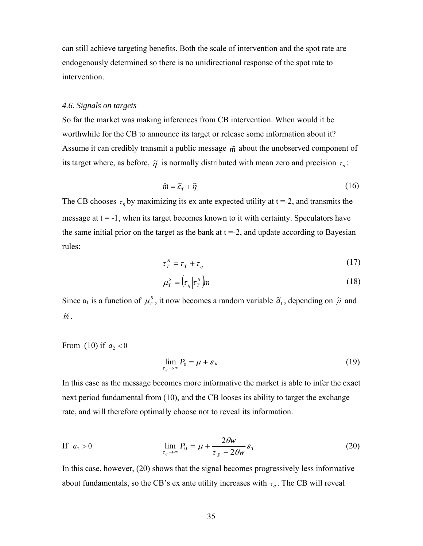can still achieve targeting benefits. Both the scale of intervention and the spot rate are endogenously determined so there is no unidirectional response of the spot rate to intervention.

#### *4.6. Signals on targets*

So far the market was making inferences from CB intervention. When would it be worthwhile for the CB to announce its target or release some information about it? Assume it can credibly transmit a public message  $\tilde{m}$  about the unobserved component of its target where, as before,  $\tilde{\eta}$  is normally distributed with mean zero and precision  $\tau_{\eta}$ :

$$
\widetilde{m} = \widetilde{\varepsilon}_T + \widetilde{\eta} \tag{16}
$$

The CB chooses  $\tau_n$  by maximizing its ex ante expected utility at t =-2, and transmits the message at  $t = -1$ , when its target becomes known to it with certainty. Speculators have the same initial prior on the target as the bank at  $t = -2$ , and update according to Bayesian rules:

$$
\tau_{T}^{S} = \tau_{T} + \tau_{\eta} \tag{17}
$$

$$
\mu_r^s = \left(\tau_\eta \middle| \tau_r^s\right) m \tag{18}
$$

Since  $a_1$  is a function of  $\mu^s$ , it now becomes a random variable  $\tilde{a}_1$ , depending on  $\tilde{\mu}$  and  $\widetilde{m}$ .

From (10) if  $a_2 < 0$ 

$$
\lim_{\tau_{\eta} \to \infty} P_0 = \mu + \varepsilon_P \tag{19}
$$

In this case as the message becomes more informative the market is able to infer the exact next period fundamental from (10), and the CB looses its ability to target the exchange rate, and will therefore optimally choose not to reveal its information.

If 
$$
a_2 > 0
$$
 
$$
\lim_{\tau_\eta \to \infty} P_0 = \mu + \frac{2\theta w}{\tau_P + 2\theta w} \varepsilon_T
$$
 (20)

In this case, however, (20) shows that the signal becomes progressively less informative about fundamentals, so the CB's ex ante utility increases with  $\tau_n$ . The CB will reveal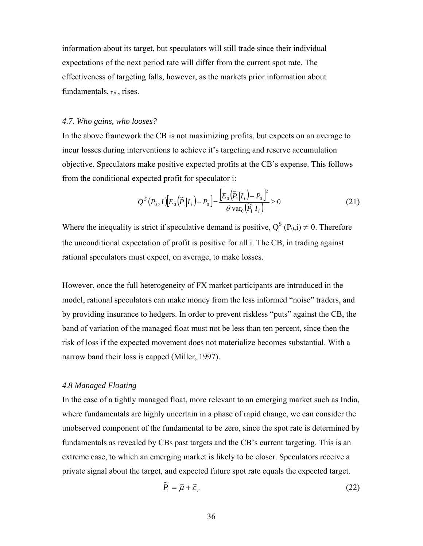information about its target, but speculators will still trade since their individual expectations of the next period rate will differ from the current spot rate. The effectiveness of targeting falls, however, as the markets prior information about fundamentals,  $\tau_{P}$ , rises.

#### *4.7. Who gains, who looses?*

In the above framework the CB is not maximizing profits, but expects on an average to incur losses during interventions to achieve it's targeting and reserve accumulation objective. Speculators make positive expected profits at the CB's expense. This follows from the conditional expected profit for speculator i:

$$
Q^{S}(P_{0},I)[E_{0}(\widetilde{P}_{1}|I_{i})-P_{0}]=\frac{[E_{0}(\widetilde{P}_{1}|I_{i})-P_{0}]^{2}}{\theta \operatorname{var}_{0}(\widetilde{P}_{1}|I_{i})}\geq 0
$$
\n(21)

Where the inequality is strict if speculative demand is positive,  $Q^{S}(P_{0,i}) \neq 0$ . Therefore the unconditional expectation of profit is positive for all i. The CB, in trading against rational speculators must expect, on average, to make losses.

However, once the full heterogeneity of FX market participants are introduced in the model, rational speculators can make money from the less informed "noise" traders, and by providing insurance to hedgers. In order to prevent riskless "puts" against the CB, the band of variation of the managed float must not be less than ten percent, since then the risk of loss if the expected movement does not materialize becomes substantial. With a narrow band their loss is capped (Miller, 1997).

#### *4.8 Managed Floating*

In the case of a tightly managed float, more relevant to an emerging market such as India, where fundamentals are highly uncertain in a phase of rapid change, we can consider the unobserved component of the fundamental to be zero, since the spot rate is determined by fundamentals as revealed by CBs past targets and the CB's current targeting. This is an extreme case, to which an emerging market is likely to be closer. Speculators receive a private signal about the target, and expected future spot rate equals the expected target.

$$
\widetilde{P}_1 = \widetilde{\mu} + \widetilde{\varepsilon}_T \tag{22}
$$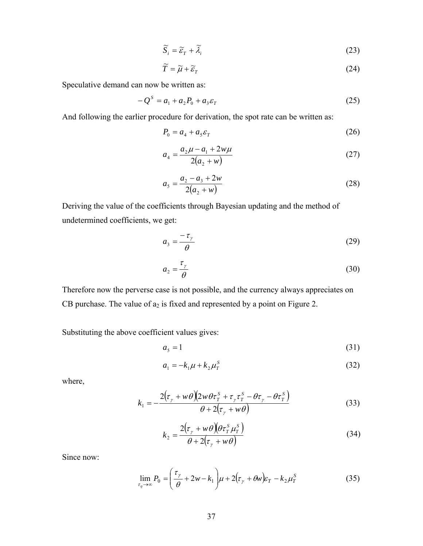$$
\widetilde{S}_i = \widetilde{\varepsilon}_T + \widetilde{\lambda}_i \tag{23}
$$

$$
\widetilde{T} = \widetilde{\mu} + \widetilde{\varepsilon}_T \tag{24}
$$

Speculative demand can now be written as:

$$
-Q^{S} = a_{1} + a_{2}P_{0} + a_{3}\varepsilon_{T}
$$
 (25)

And following the earlier procedure for derivation, the spot rate can be written as:

$$
P_0 = a_4 + a_5 \varepsilon_T \tag{26}
$$

$$
a_4 = \frac{a_2 \mu - a_1 + 2w \mu}{2(a_2 + w)}
$$
 (27)

$$
a_5 = \frac{a_2 - a_3 + 2w}{2(a_2 + w)}
$$
 (28)

Deriving the value of the coefficients through Bayesian updating and the method of undetermined coefficients, we get:

$$
a_3 = \frac{-\tau_\gamma}{\theta} \tag{29}
$$

$$
a_2 = \frac{\tau_\gamma}{\theta} \tag{30}
$$

Therefore now the perverse case is not possible, and the currency always appreciates on CB purchase. The value of  $a_2$  is fixed and represented by a point on Figure 2.

Substituting the above coefficient values gives:

$$
a_5 = 1 \tag{31}
$$

$$
a_1 = -k_1 \mu + k_2 \mu_T^s \tag{32}
$$

where,

$$
k_1 = -\frac{2(\tau_\gamma + w\theta)(2w\theta\tau_r^s + \tau_\gamma\tau_r^s - \theta\tau_\gamma - \theta\tau_r^s)}{\theta + 2(\tau_\gamma + w\theta)}
$$
(33)

$$
k_2 = \frac{2(\tau_y + w\theta)(\theta \tau_T^s \mu_T^s)}{\theta + 2(\tau_y + w\theta)}
$$
(34)

Since now:

$$
\lim_{\tau_{\eta} \to \infty} P_0 = \left(\frac{\tau_{\gamma}}{\theta} + 2w - k_1\right)\mu + 2(\tau_{\gamma} + \theta w)\varepsilon_T - k_2\mu_T^S \tag{35}
$$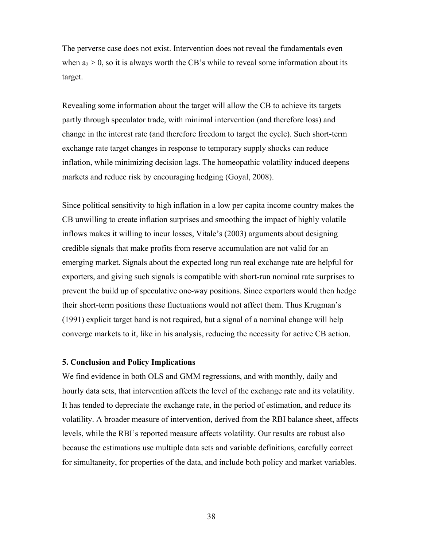The perverse case does not exist. Intervention does not reveal the fundamentals even when  $a_2 > 0$ , so it is always worth the CB's while to reveal some information about its target.

Revealing some information about the target will allow the CB to achieve its targets partly through speculator trade, with minimal intervention (and therefore loss) and change in the interest rate (and therefore freedom to target the cycle). Such short-term exchange rate target changes in response to temporary supply shocks can reduce inflation, while minimizing decision lags. The homeopathic volatility induced deepens markets and reduce risk by encouraging hedging (Goyal, 2008).

Since political sensitivity to high inflation in a low per capita income country makes the CB unwilling to create inflation surprises and smoothing the impact of highly volatile inflows makes it willing to incur losses, Vitale's (2003) arguments about designing credible signals that make profits from reserve accumulation are not valid for an emerging market. Signals about the expected long run real exchange rate are helpful for exporters, and giving such signals is compatible with short-run nominal rate surprises to prevent the build up of speculative one-way positions. Since exporters would then hedge their short-term positions these fluctuations would not affect them. Thus Krugman's (1991) explicit target band is not required, but a signal of a nominal change will help converge markets to it, like in his analysis, reducing the necessity for active CB action.

### **5. Conclusion and Policy Implications**

We find evidence in both OLS and GMM regressions, and with monthly, daily and hourly data sets, that intervention affects the level of the exchange rate and its volatility. It has tended to depreciate the exchange rate, in the period of estimation, and reduce its volatility. A broader measure of intervention, derived from the RBI balance sheet, affects levels, while the RBI's reported measure affects volatility. Our results are robust also because the estimations use multiple data sets and variable definitions, carefully correct for simultaneity, for properties of the data, and include both policy and market variables.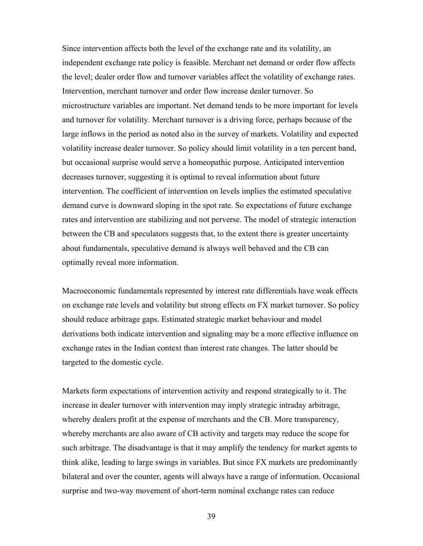Since intervention affects both the level of the exchange rate and its volatility, an independent exchange rate policy is feasible. Merchant net demand or order flow affects the level; dealer order flow and turnover variables affect the volatility of exchange rates. Intervention, merchant turnover and order flow increase dealer turnover. So microstructure variables are important. Net demand tends to be more important for levels and turnover for volatility. Merchant turnover is a driving force, perhaps because of the large inflows in the period as noted also in the survey of markets. Volatility and expected volatility increase dealer turnover. So policy should limit volatility in a ten percent band, but occasional surprise would serve a homeopathic purpose. Anticipated intervention decreases turnover, suggesting it is optimal to reveal information about future intervention. The coefficient of intervention on levels implies the estimated speculative demand curve is downward sloping in the spot rate. So expectations of future exchange rates and intervention are stabilizing and not perverse. The model of strategic interaction between the CB and speculators suggests that, to the extent there is greater uncertainty about fundamentals, speculative demand is always well behaved and the CB can optimally reveal more information.

Macroeconomic fundamentals represented by interest rate differentials have weak effects on exchange rate levels and volatility but strong effects on FX market turnover. So policy should reduce arbitrage gaps. Estimated strategic market behaviour and model derivations both indicate intervention and signaling may be a more effective influence on exchange rates in the Indian context than interest rate changes. The latter should be targeted to the domestic cycle.

Markets form expectations of intervention activity and respond strategically to it. The increase in dealer turnover with intervention may imply strategic intraday arbitrage, whereby dealers profit at the expense of merchants and the CB. More transparency, whereby merchants are also aware of CB activity and targets may reduce the scope for such arbitrage. The disadvantage is that it may amplify the tendency for market agents to think alike, leading to large swings in variables. But since FX markets are predominantly bilateral and over the counter, agents will always have a range of information. Occasional surprise and two-way movement of short-term nominal exchange rates can reduce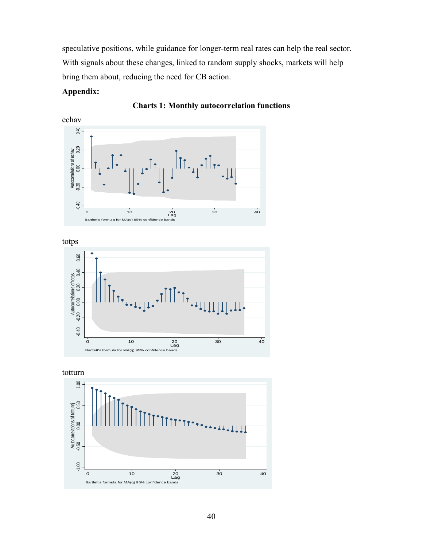speculative positions, while guidance for longer-term real rates can help the real sector. With signals about these changes, linked to random supply shocks, markets will help bring them about, reducing the need for CB action.

# **Appendix:**









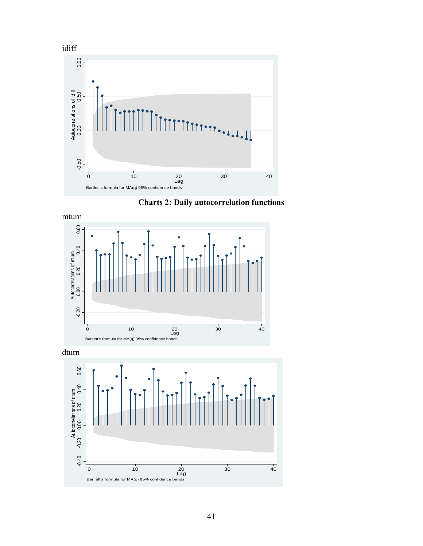





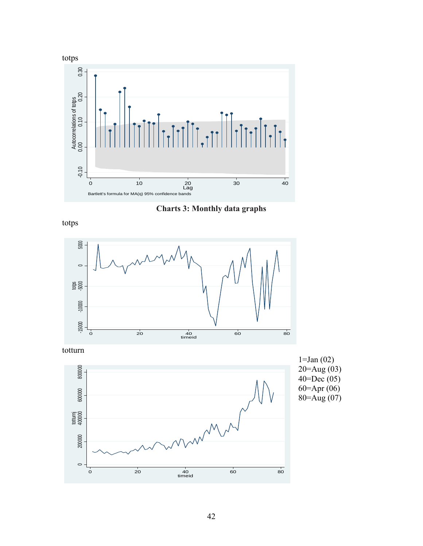

**Charts 3: Monthly data graphs** 

totps



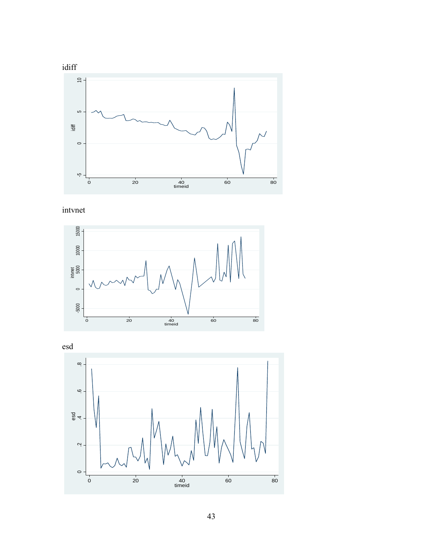

intvnet



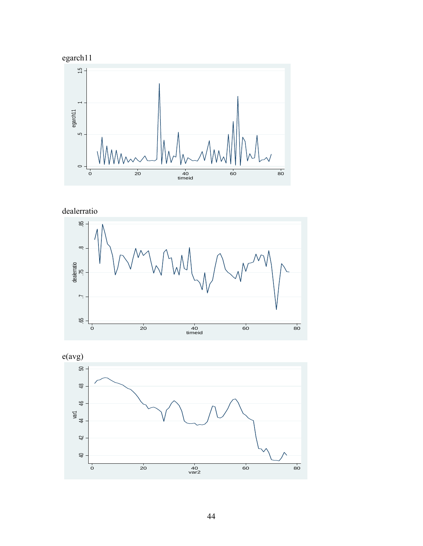





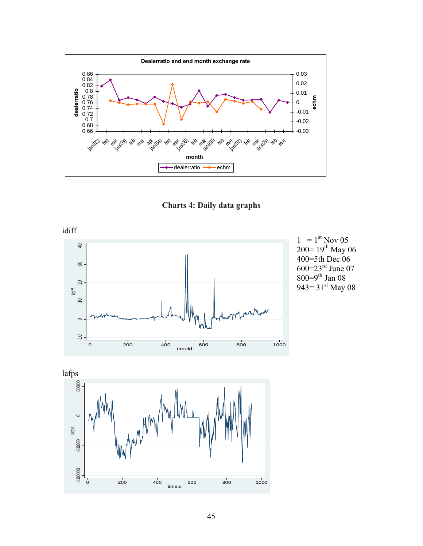





 $1 = 1^{st}$  Nov 05  $200=19^{th}$  May 06 400=5th Dec 06 600=23 $^{\rm rd}$  June 07 800=9<sup>th</sup> Jan 08 943=  $31^{st}$  May 08

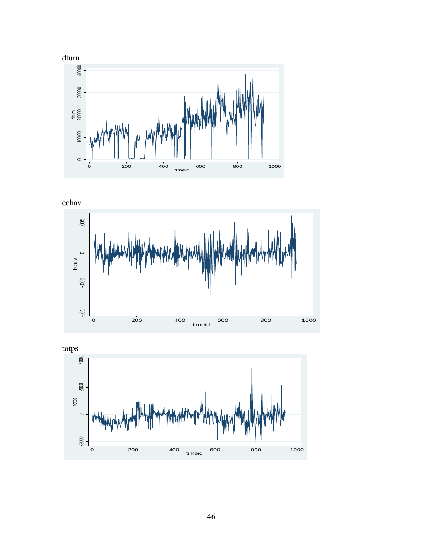

echav



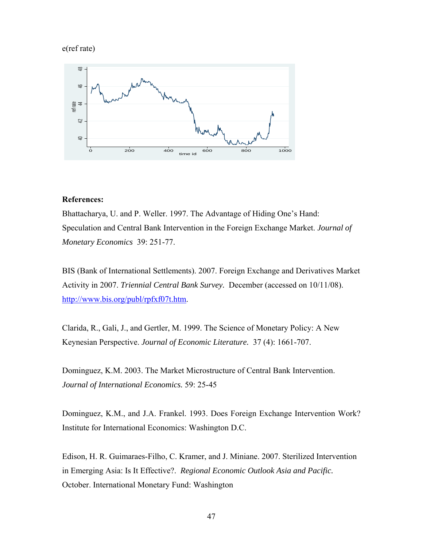# e(ref rate)



## **References:**

Bhattacharya, U. and P. Weller. 1997. The Advantage of Hiding One's Hand: Speculation and Central Bank Intervention in the Foreign Exchange Market. *Journal of Monetary Economics* 39: 251-77.

BIS (Bank of International Settlements). 2007. Foreign Exchange and Derivatives Market Activity in 2007. *Triennial Central Bank Survey.* December (accessed on 10/11/08). [http://www.bis.org/publ/rpfxf07t.htm.](http://www.bis.org/publ/rpfxf07t.htm)

Clarida, R., Gali, J., and Gertler, M. 1999. The Science of Monetary Policy: A New Keynesian Perspective. *Journal of Economic Literature.* 37 (4): 1661-707.

Dominguez, K.M. 2003. The Market Microstructure of Central Bank Intervention. *Journal of International Economics.* 59: 25-45

Dominguez, K.M., and J.A. Frankel. 1993. Does Foreign Exchange Intervention Work? Institute for International Economics: Washington D.C.

Edison, H. R. Guimaraes-Filho, C. Kramer, and J. Miniane. 2007. Sterilized Intervention in Emerging Asia: Is It Effective?. *Regional Economic Outlook Asia and Pacific.* October. International Monetary Fund: Washington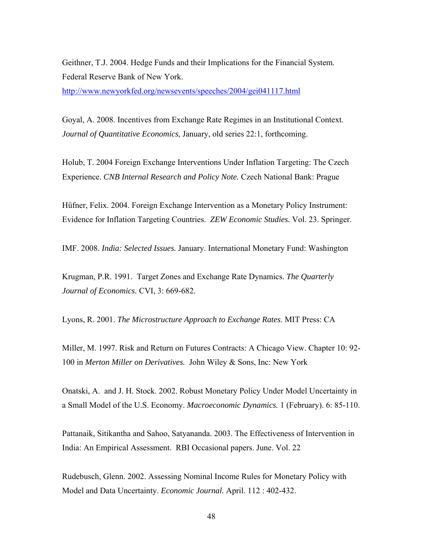Geithner, T.J. 2004. Hedge Funds and their Implications for the Financial System. Federal Reserve Bank of New York.

<http://www.newyorkfed.org/newsevents/speeches/2004/gei041117.html>

Goyal, A. 2008. Incentives from Exchange Rate Regimes in an Institutional Context. *Journal of Quantitative Economics*, January, old series 22:1, forthcoming.

Holub, T. 2004 Foreign Exchange Interventions Under Inflation Targeting: The Czech Experience. *CNB Internal Research and Policy Note.* Czech National Bank: Prague

Hüfner, Felix. 2004. Foreign Exchange Intervention as a Monetary Policy Instrument: Evidence for Inflation Targeting Countries. *ZEW Economic Studies.* Vol. 23. Springer.

IMF. 2008. *India: Selected Issues.* January. International Monetary Fund: Washington

Krugman, P.R. 1991. Target Zones and Exchange Rate Dynamics. *The Quarterly Journal of Economics.* CVI, 3: 669-682.

Lyons, R. 2001. *The Microstructure Approach to Exchange Rates*. MIT Press: CA

Miller, M. 1997. Risk and Return on Futures Contracts: A Chicago View. Chapter 10: 92- 100 in *Merton Miller on Derivatives.* John Wiley & Sons, Inc: New York

Onatski, A. and J. H. Stock. 2002. Robust Monetary Policy Under Model Uncertainty in a Small Model of the U.S. Economy. *Macroeconomic Dynamics.* 1 (February). 6: 85-110.

Pattanaik, Sitikantha and Sahoo, Satyananda. 2003. The Effectiveness of Intervention in India: An Empirical Assessment. RBI Occasional papers. June. Vol. 22

Rudebusch, Glenn. 2002. Assessing Nominal Income Rules for Monetary Policy with Model and Data Uncertainty. *Economic Journal.* April. 112 : 402-432.